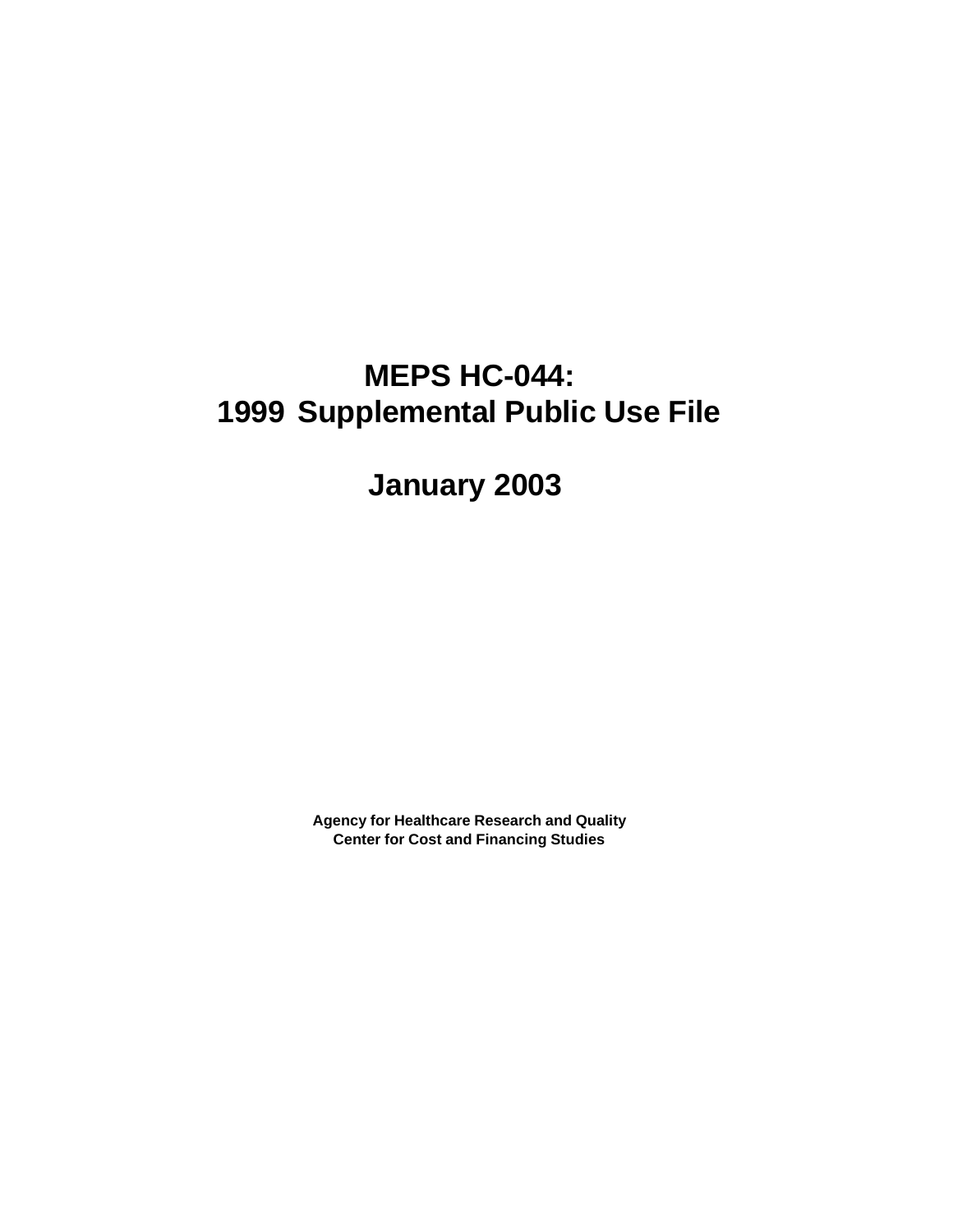# **MEPS HC-044: 1999 Supplemental Public Use File**

**January 2003**

**Agency for Healthcare Research and Quality Center for Cost and Financing Studies**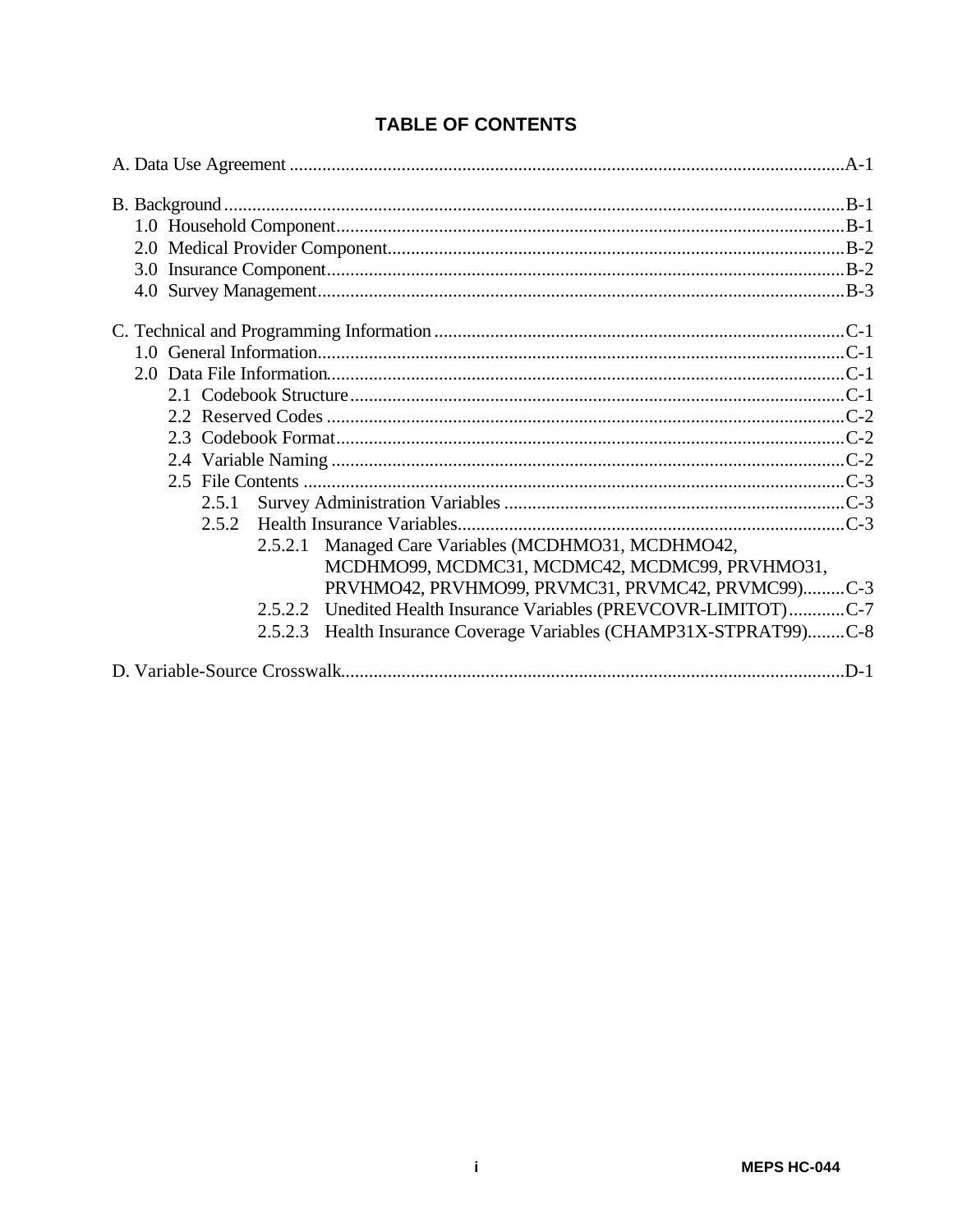| 2.5.1 |                                                                       |  |
|-------|-----------------------------------------------------------------------|--|
|       |                                                                       |  |
|       | Managed Care Variables (MCDHMO31, MCDHMO42,<br>2.5.2.1                |  |
|       | MCDHMO99, MCDMC31, MCDMC42, MCDMC99, PRVHMO31,                        |  |
|       | PRVHMO42, PRVHMO99, PRVMC31, PRVMC42, PRVMC99)C-3                     |  |
|       | 2.5.2.2 Unedited Health Insurance Variables (PREVCOVR-LIMITOT)C-7     |  |
|       | Health Insurance Coverage Variables (CHAMP31X-STPRAT99)C-8<br>2.5.2.3 |  |
|       |                                                                       |  |

# **TABLE OF CONTENTS**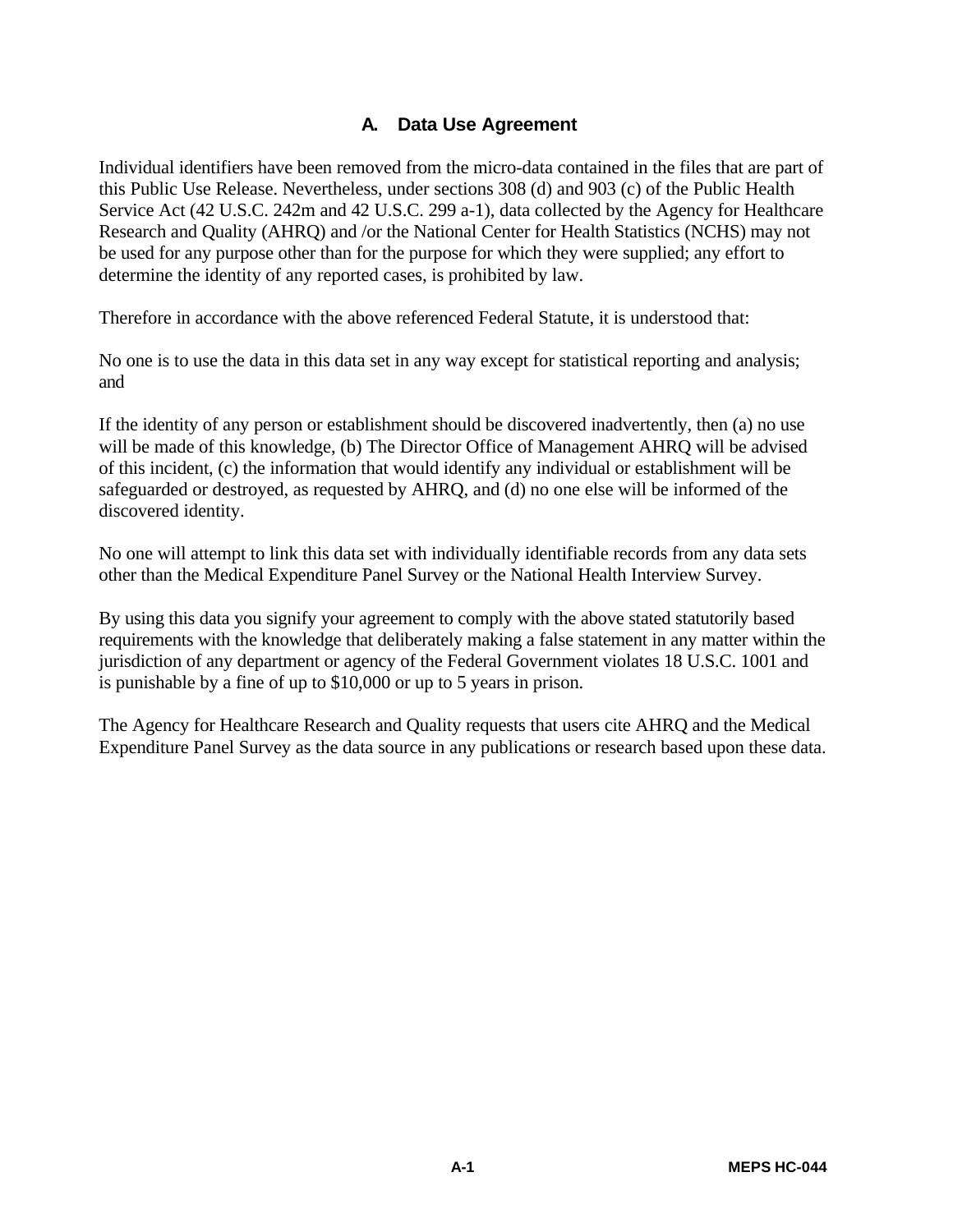# **A. Data Use Agreement**

Individual identifiers have been removed from the micro-data contained in the files that are part of this Public Use Release. Nevertheless, under sections 308 (d) and 903 (c) of the Public Health Service Act (42 U.S.C. 242m and 42 U.S.C. 299 a-1), data collected by the Agency for Healthcare Research and Quality (AHRQ) and /or the National Center for Health Statistics (NCHS) may not be used for any purpose other than for the purpose for which they were supplied; any effort to determine the identity of any reported cases, is prohibited by law.

Therefore in accordance with the above referenced Federal Statute, it is understood that:

No one is to use the data in this data set in any way except for statistical reporting and analysis; and

If the identity of any person or establishment should be discovered inadvertently, then (a) no use will be made of this knowledge, (b) The Director Office of Management AHRQ will be advised of this incident, (c) the information that would identify any individual or establishment will be safeguarded or destroyed, as requested by AHRQ, and (d) no one else will be informed of the discovered identity.

No one will attempt to link this data set with individually identifiable records from any data sets other than the Medical Expenditure Panel Survey or the National Health Interview Survey.

By using this data you signify your agreement to comply with the above stated statutorily based requirements with the knowledge that deliberately making a false statement in any matter within the jurisdiction of any department or agency of the Federal Government violates 18 U.S.C. 1001 and is punishable by a fine of up to \$10,000 or up to 5 years in prison.

The Agency for Healthcare Research and Quality requests that users cite AHRQ and the Medical Expenditure Panel Survey as the data source in any publications or research based upon these data.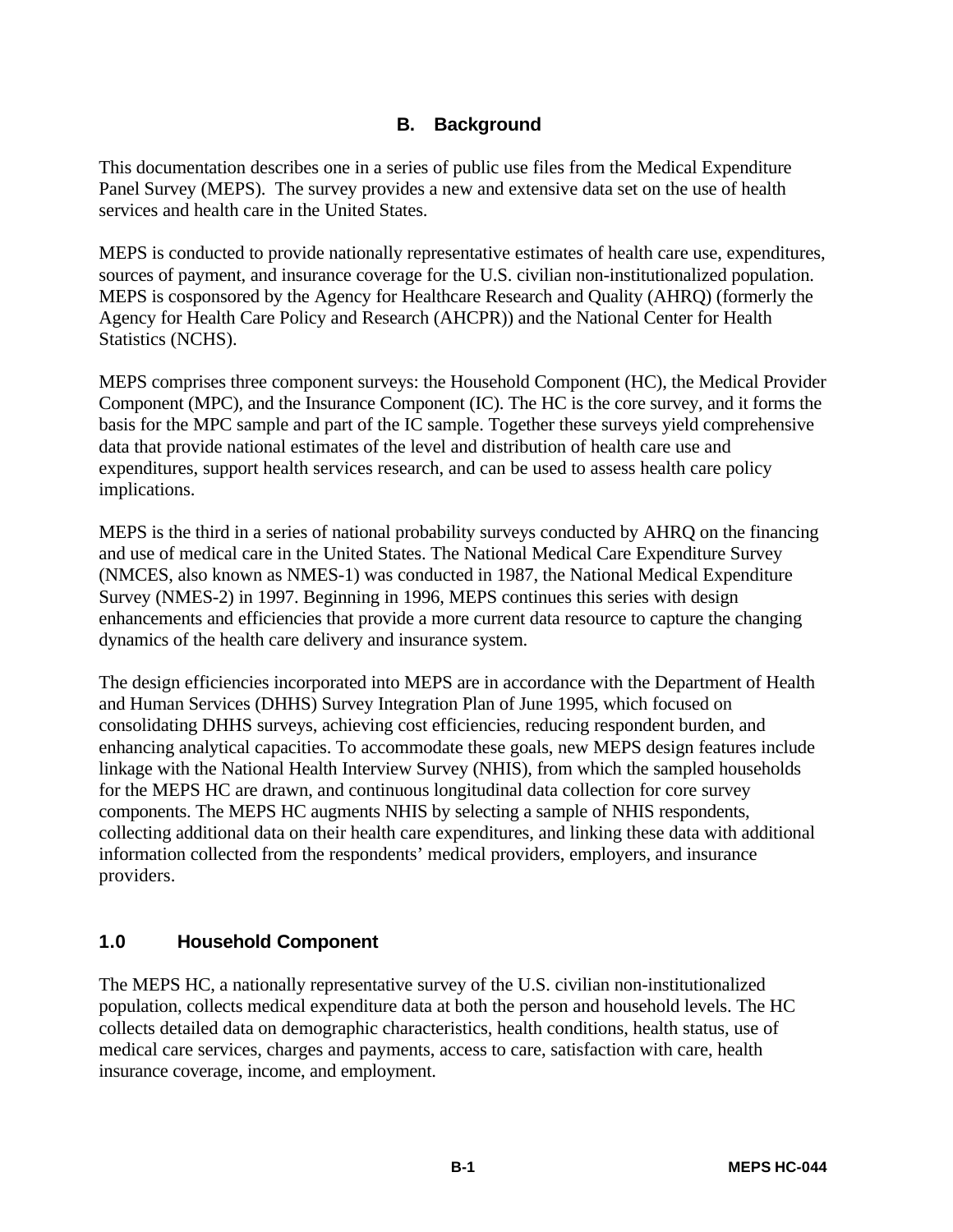# **B. Background**

This documentation describes one in a series of public use files from the Medical Expenditure Panel Survey (MEPS). The survey provides a new and extensive data set on the use of health services and health care in the United States.

MEPS is conducted to provide nationally representative estimates of health care use, expenditures, sources of payment, and insurance coverage for the U.S. civilian non-institutionalized population. MEPS is cosponsored by the Agency for Healthcare Research and Quality (AHRQ) (formerly the Agency for Health Care Policy and Research (AHCPR)) and the National Center for Health Statistics (NCHS).

MEPS comprises three component surveys: the Household Component (HC), the Medical Provider Component (MPC), and the Insurance Component (IC). The HC is the core survey, and it forms the basis for the MPC sample and part of the IC sample. Together these surveys yield comprehensive data that provide national estimates of the level and distribution of health care use and expenditures, support health services research, and can be used to assess health care policy implications.

MEPS is the third in a series of national probability surveys conducted by AHRQ on the financing and use of medical care in the United States. The National Medical Care Expenditure Survey (NMCES, also known as NMES-1) was conducted in 1987, the National Medical Expenditure Survey (NMES-2) in 1997. Beginning in 1996, MEPS continues this series with design enhancements and efficiencies that provide a more current data resource to capture the changing dynamics of the health care delivery and insurance system.

The design efficiencies incorporated into MEPS are in accordance with the Department of Health and Human Services (DHHS) Survey Integration Plan of June 1995, which focused on consolidating DHHS surveys, achieving cost efficiencies, reducing respondent burden, and enhancing analytical capacities. To accommodate these goals, new MEPS design features include linkage with the National Health Interview Survey (NHIS), from which the sampled households for the MEPS HC are drawn, and continuous longitudinal data collection for core survey components. The MEPS HC augments NHIS by selecting a sample of NHIS respondents, collecting additional data on their health care expenditures, and linking these data with additional information collected from the respondents' medical providers, employers, and insurance providers.

#### **1.0 Household Component**

The MEPS HC, a nationally representative survey of the U.S. civilian non-institutionalized population, collects medical expenditure data at both the person and household levels. The HC collects detailed data on demographic characteristics, health conditions, health status, use of medical care services, charges and payments, access to care, satisfaction with care, health insurance coverage, income, and employment.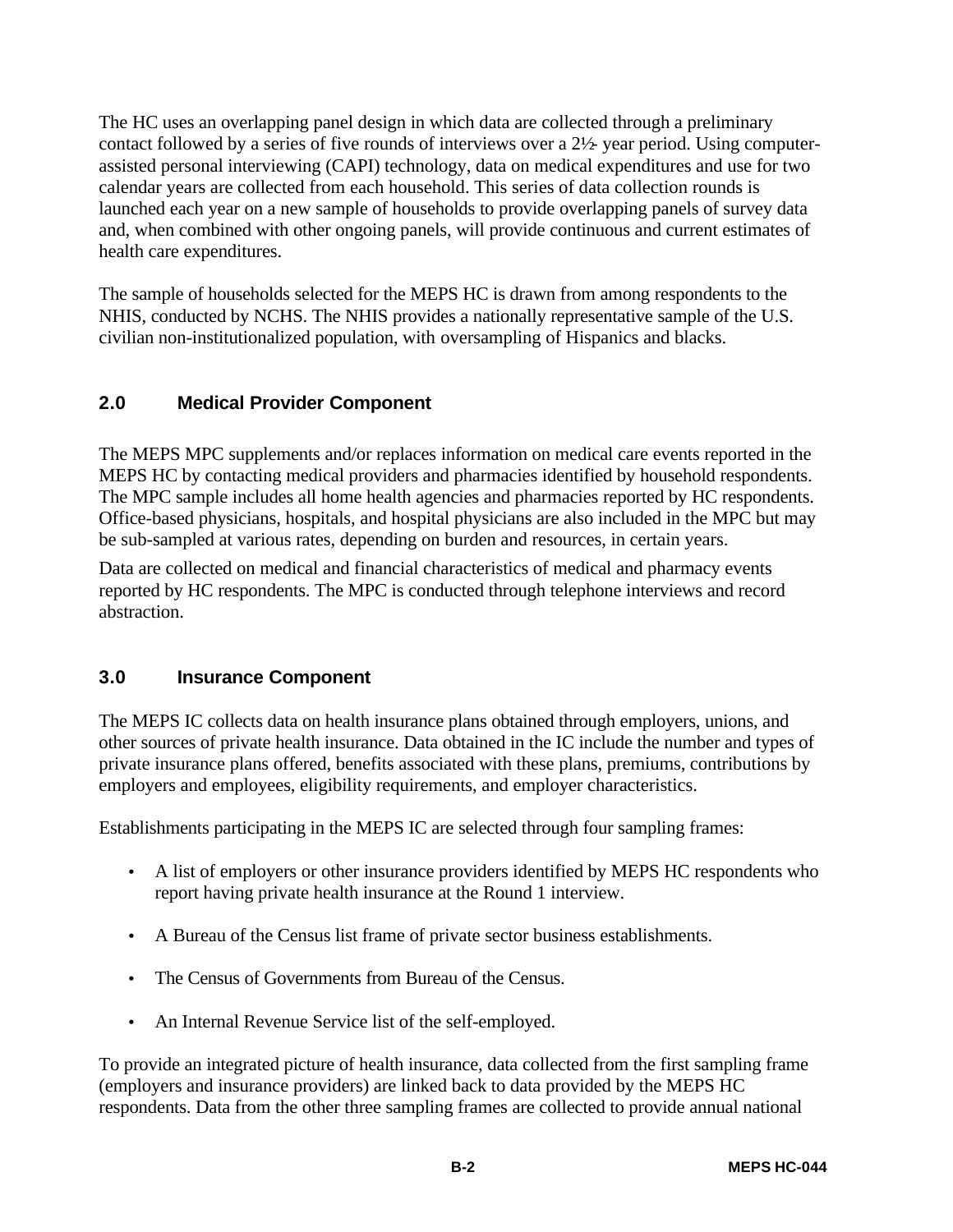The HC uses an overlapping panel design in which data are collected through a preliminary contact followed by a series of five rounds of interviews over a  $2\frac{1}{2}$  year period. Using computerassisted personal interviewing (CAPI) technology, data on medical expenditures and use for two calendar years are collected from each household. This series of data collection rounds is launched each year on a new sample of households to provide overlapping panels of survey data and, when combined with other ongoing panels, will provide continuous and current estimates of health care expenditures.

The sample of households selected for the MEPS HC is drawn from among respondents to the NHIS, conducted by NCHS. The NHIS provides a nationally representative sample of the U.S. civilian non-institutionalized population, with oversampling of Hispanics and blacks.

# **2.0 Medical Provider Component**

The MEPS MPC supplements and/or replaces information on medical care events reported in the MEPS HC by contacting medical providers and pharmacies identified by household respondents. The MPC sample includes all home health agencies and pharmacies reported by HC respondents. Office-based physicians, hospitals, and hospital physicians are also included in the MPC but may be sub-sampled at various rates, depending on burden and resources, in certain years.

Data are collected on medical and financial characteristics of medical and pharmacy events reported by HC respondents. The MPC is conducted through telephone interviews and record abstraction.

# **3.0 Insurance Component**

The MEPS IC collects data on health insurance plans obtained through employers, unions, and other sources of private health insurance. Data obtained in the IC include the number and types of private insurance plans offered, benefits associated with these plans, premiums, contributions by employers and employees, eligibility requirements, and employer characteristics.

Establishments participating in the MEPS IC are selected through four sampling frames:

- A list of employers or other insurance providers identified by MEPS HC respondents who report having private health insurance at the Round 1 interview.
- A Bureau of the Census list frame of private sector business establishments.
- The Census of Governments from Bureau of the Census.
- An Internal Revenue Service list of the self-employed.

To provide an integrated picture of health insurance, data collected from the first sampling frame (employers and insurance providers) are linked back to data provided by the MEPS HC respondents. Data from the other three sampling frames are collected to provide annual national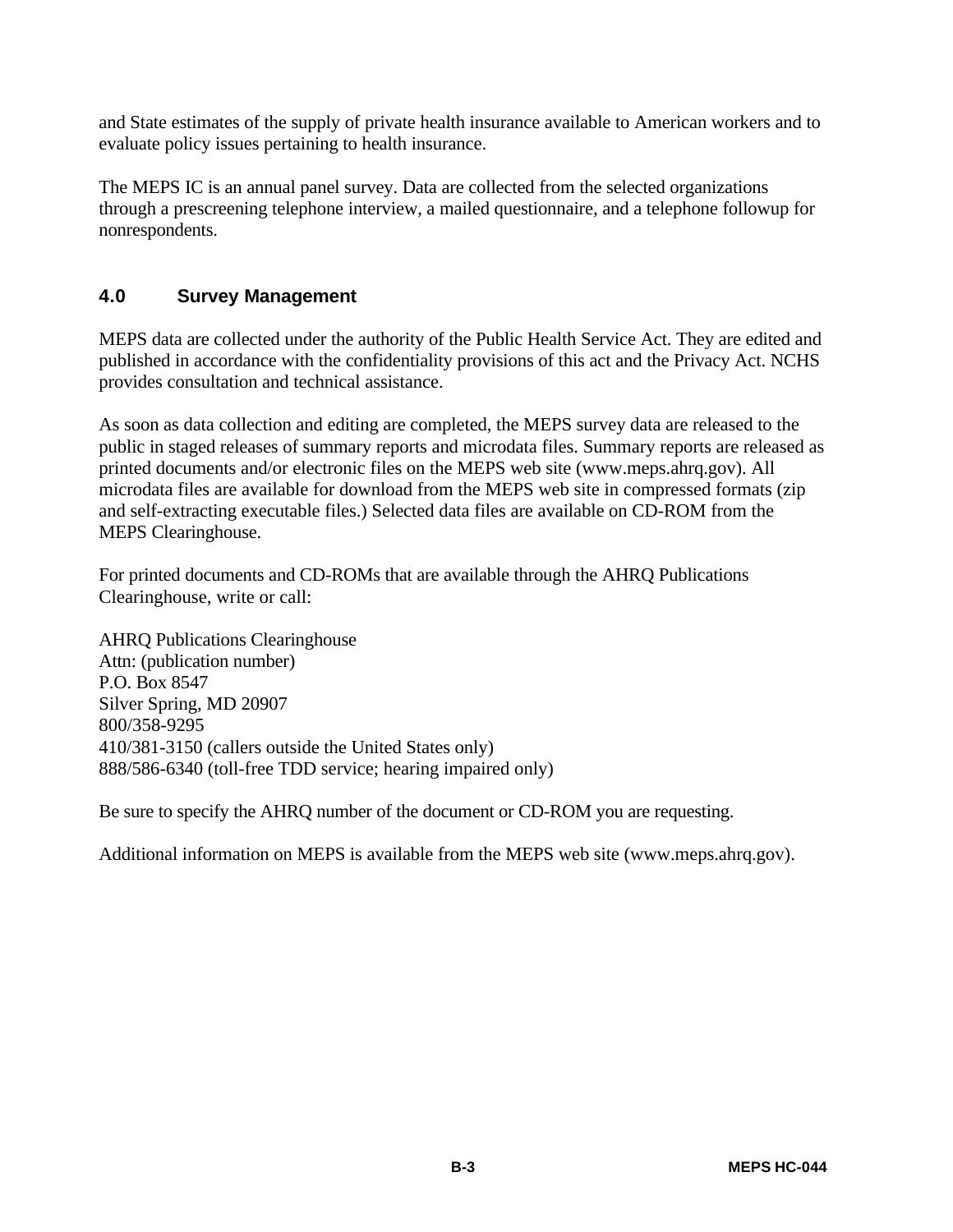and State estimates of the supply of private health insurance available to American workers and to evaluate policy issues pertaining to health insurance.

The MEPS IC is an annual panel survey. Data are collected from the selected organizations through a prescreening telephone interview, a mailed questionnaire, and a telephone followup for nonrespondents.

#### **4.0 Survey Management**

MEPS data are collected under the authority of the Public Health Service Act. They are edited and published in accordance with the confidentiality provisions of this act and the Privacy Act. NCHS provides consultation and technical assistance.

As soon as data collection and editing are completed, the MEPS survey data are released to the public in staged releases of summary reports and microdata files. Summary reports are released as printed documents and/or electronic files on the MEPS web site (www.meps.ahrq.gov). All microdata files are available for download from the MEPS web site in compressed formats (zip and self-extracting executable files.) Selected data files are available on CD-ROM from the MEPS Clearinghouse.

For printed documents and CD-ROMs that are available through the AHRQ Publications Clearinghouse, write or call:

AHRQ Publications Clearinghouse Attn: (publication number) P.O. Box 8547 Silver Spring, MD 20907 800/358-9295 410/381-3150 (callers outside the United States only) 888/586-6340 (toll-free TDD service; hearing impaired only)

Be sure to specify the AHRQ number of the document or CD-ROM you are requesting.

Additional information on MEPS is available from the MEPS web site (www.meps.ahrq.gov).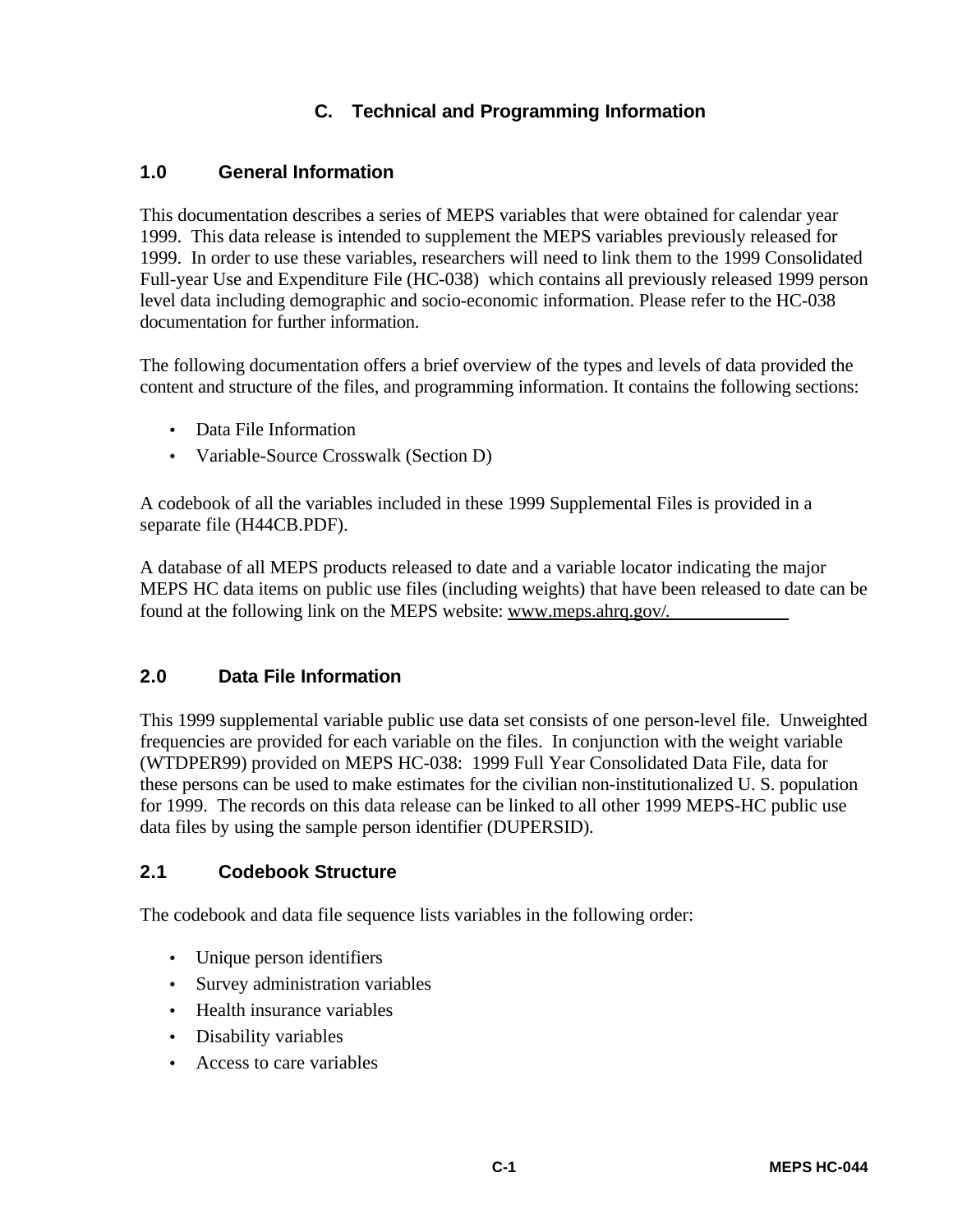# **C. Technical and Programming Information**

#### **1.0 General Information**

This documentation describes a series of MEPS variables that were obtained for calendar year 1999. This data release is intended to supplement the MEPS variables previously released for 1999. In order to use these variables, researchers will need to link them to the 1999 Consolidated Full-year Use and Expenditure File (HC-038) which contains all previously released 1999 person level data including demographic and socio-economic information. Please refer to the HC-038 documentation for further information.

The following documentation offers a brief overview of the types and levels of data provided the content and structure of the files, and programming information. It contains the following sections:

- Data File Information
- Variable-Source Crosswalk (Section D)

A codebook of all the variables included in these 1999 Supplemental Files is provided in a separate file (H44CB.PDF).

A database of all MEPS products released to date and a variable locator indicating the major MEPS HC data items on public use files (including weights) that have been released to date can be found at the following link on the MEPS website: www.meps.ahrq.gov/.

#### **2.0 Data File Information**

This 1999 supplemental variable public use data set consists of one person-level file. Unweighted frequencies are provided for each variable on the files. In conjunction with the weight variable (WTDPER99) provided on MEPS HC-038: 1999 Full Year Consolidated Data File, data for these persons can be used to make estimates for the civilian non-institutionalized U. S. population for 1999. The records on this data release can be linked to all other 1999 MEPS-HC public use data files by using the sample person identifier (DUPERSID).

#### **2.1 Codebook Structure**

The codebook and data file sequence lists variables in the following order:

- Unique person identifiers
- Survey administration variables
- Health insurance variables
- Disability variables
- Access to care variables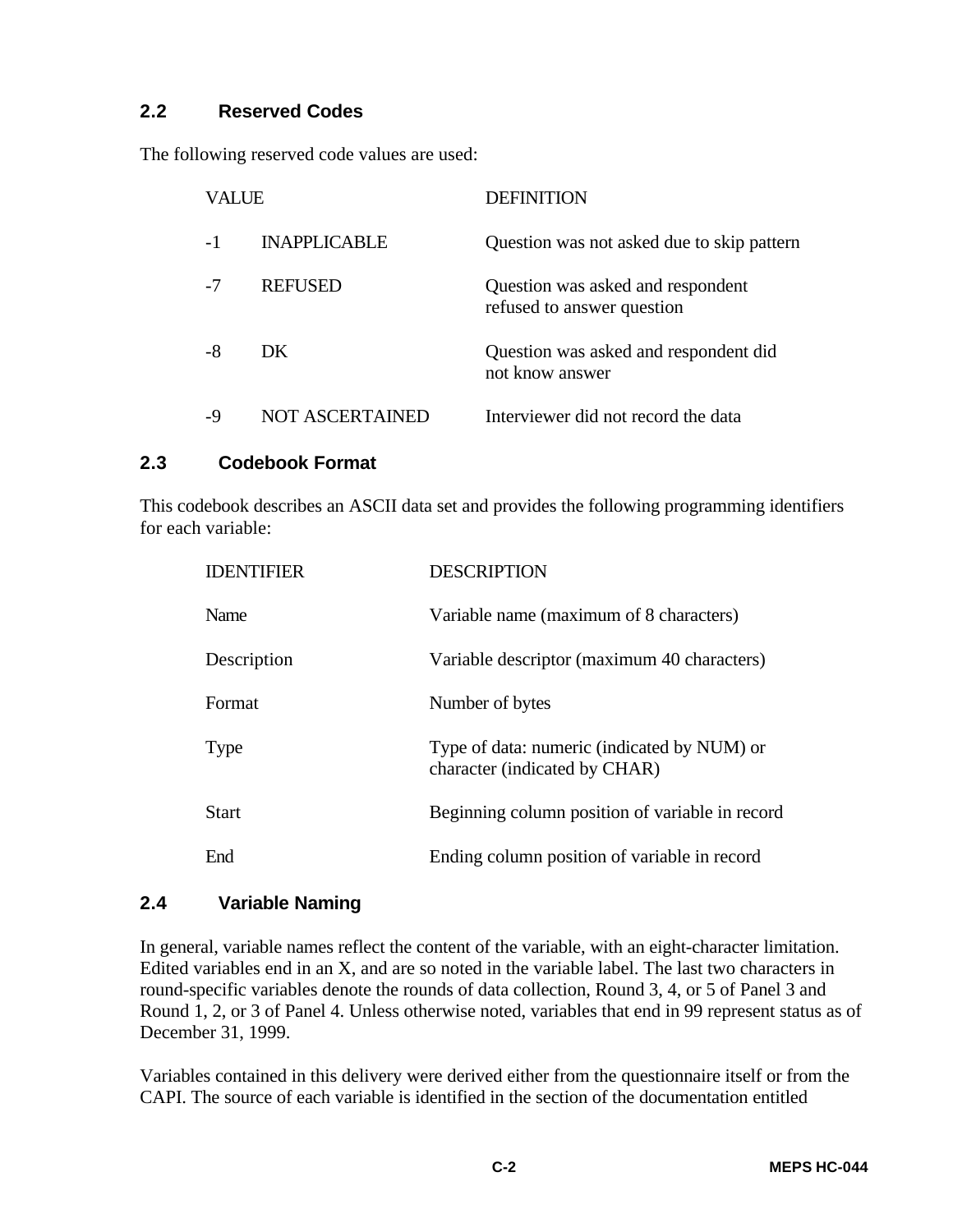#### **2.2 Reserved Codes**

The following reserved code values are used:

| VALUE |                     | <b>DEFINITION</b>                                               |  |
|-------|---------------------|-----------------------------------------------------------------|--|
| $-1$  | <b>INAPPLICABLE</b> | Question was not asked due to skip pattern                      |  |
|       | <b>REFUSED</b>      | Question was asked and respondent<br>refused to answer question |  |
| -8    | DK.                 | Question was asked and respondent did<br>not know answer        |  |
| -9    | NOT ASCERTAINED     | Interviewer did not record the data                             |  |

#### **2.3 Codebook Format**

This codebook describes an ASCII data set and provides the following programming identifiers for each variable:

| <b>IDENTIFIER</b> | <b>DESCRIPTION</b>                                                           |
|-------------------|------------------------------------------------------------------------------|
| Name              | Variable name (maximum of 8 characters)                                      |
| Description       | Variable descriptor (maximum 40 characters)                                  |
| Format            | Number of bytes                                                              |
| Type              | Type of data: numeric (indicated by NUM) or<br>character (indicated by CHAR) |
| <b>Start</b>      | Beginning column position of variable in record                              |
| End               | Ending column position of variable in record                                 |

#### **2.4 Variable Naming**

In general, variable names reflect the content of the variable, with an eight-character limitation. Edited variables end in an X, and are so noted in the variable label. The last two characters in round-specific variables denote the rounds of data collection, Round 3, 4, or 5 of Panel 3 and Round 1, 2, or 3 of Panel 4. Unless otherwise noted, variables that end in 99 represent status as of December 31, 1999.

Variables contained in this delivery were derived either from the questionnaire itself or from the CAPI. The source of each variable is identified in the section of the documentation entitled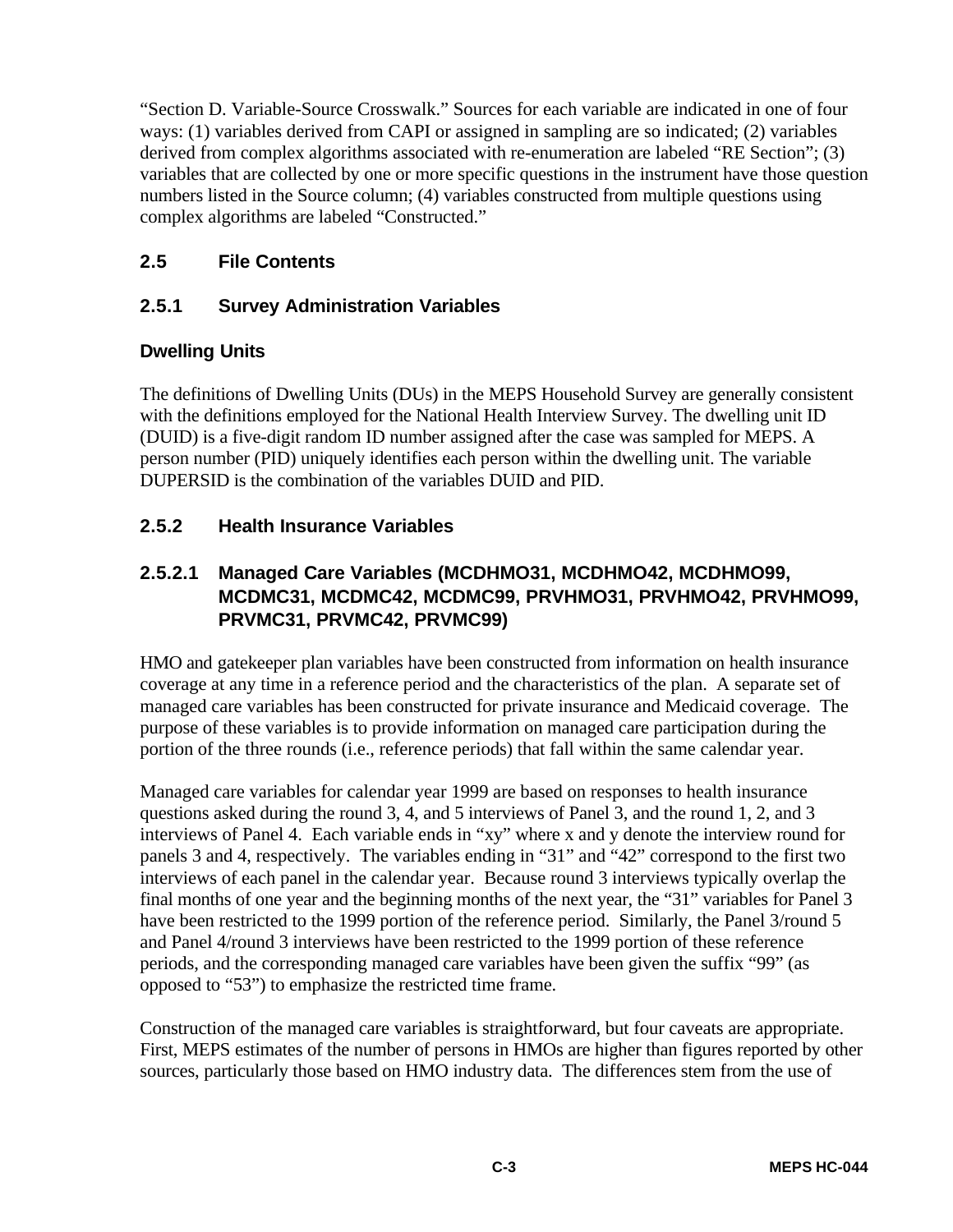"Section D. Variable-Source Crosswalk." Sources for each variable are indicated in one of four ways: (1) variables derived from CAPI or assigned in sampling are so indicated; (2) variables derived from complex algorithms associated with re-enumeration are labeled "RE Section"; (3) variables that are collected by one or more specific questions in the instrument have those question numbers listed in the Source column; (4) variables constructed from multiple questions using complex algorithms are labeled "Constructed."

# **2.5 File Contents**

# **2.5.1 Survey Administration Variables**

# **Dwelling Units**

The definitions of Dwelling Units (DUs) in the MEPS Household Survey are generally consistent with the definitions employed for the National Health Interview Survey. The dwelling unit ID (DUID) is a five-digit random ID number assigned after the case was sampled for MEPS. A person number (PID) uniquely identifies each person within the dwelling unit. The variable DUPERSID is the combination of the variables DUID and PID.

# **2.5.2 Health Insurance Variables**

# **2.5.2.1 Managed Care Variables (MCDHMO31, MCDHMO42, MCDHMO99, MCDMC31, MCDMC42, MCDMC99, PRVHMO31, PRVHMO42, PRVHMO99, PRVMC31, PRVMC42, PRVMC99)**

HMO and gatekeeper plan variables have been constructed from information on health insurance coverage at any time in a reference period and the characteristics of the plan. A separate set of managed care variables has been constructed for private insurance and Medicaid coverage. The purpose of these variables is to provide information on managed care participation during the portion of the three rounds (i.e., reference periods) that fall within the same calendar year.

Managed care variables for calendar year 1999 are based on responses to health insurance questions asked during the round 3, 4, and 5 interviews of Panel 3, and the round 1, 2, and 3 interviews of Panel 4. Each variable ends in "xy" where x and y denote the interview round for panels 3 and 4, respectively. The variables ending in "31" and "42" correspond to the first two interviews of each panel in the calendar year. Because round 3 interviews typically overlap the final months of one year and the beginning months of the next year, the "31" variables for Panel 3 have been restricted to the 1999 portion of the reference period. Similarly, the Panel 3/round 5 and Panel 4/round 3 interviews have been restricted to the 1999 portion of these reference periods, and the corresponding managed care variables have been given the suffix "99" (as opposed to "53") to emphasize the restricted time frame.

Construction of the managed care variables is straightforward, but four caveats are appropriate. First, MEPS estimates of the number of persons in HMOs are higher than figures reported by other sources, particularly those based on HMO industry data. The differences stem from the use of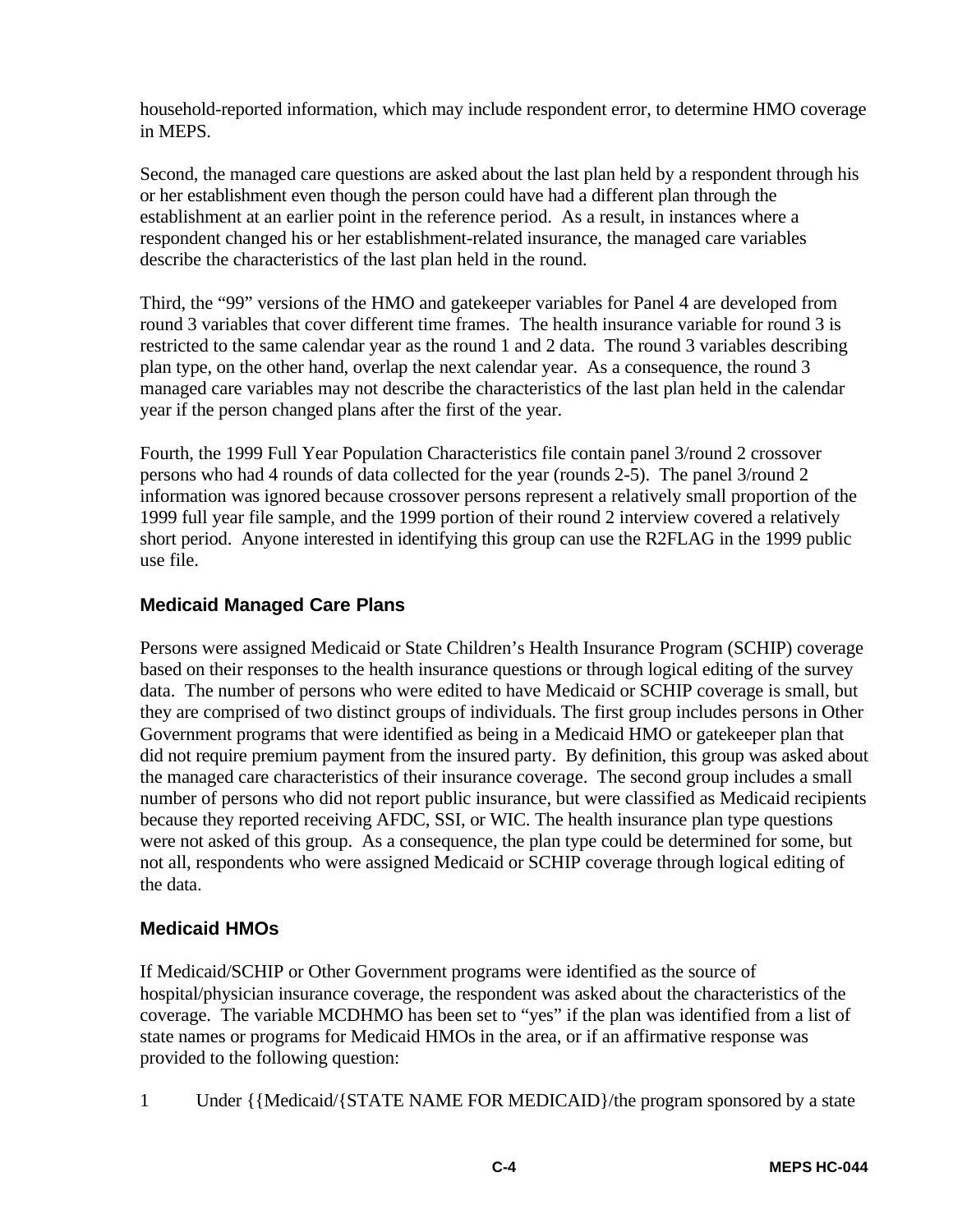household-reported information, which may include respondent error, to determine HMO coverage in MEPS.

Second, the managed care questions are asked about the last plan held by a respondent through his or her establishment even though the person could have had a different plan through the establishment at an earlier point in the reference period. As a result, in instances where a respondent changed his or her establishment-related insurance, the managed care variables describe the characteristics of the last plan held in the round.

Third, the "99" versions of the HMO and gatekeeper variables for Panel 4 are developed from round 3 variables that cover different time frames. The health insurance variable for round 3 is restricted to the same calendar year as the round 1 and 2 data. The round 3 variables describing plan type, on the other hand, overlap the next calendar year. As a consequence, the round 3 managed care variables may not describe the characteristics of the last plan held in the calendar year if the person changed plans after the first of the year.

Fourth, the 1999 Full Year Population Characteristics file contain panel 3/round 2 crossover persons who had 4 rounds of data collected for the year (rounds 2-5). The panel 3/round 2 information was ignored because crossover persons represent a relatively small proportion of the 1999 full year file sample, and the 1999 portion of their round 2 interview covered a relatively short period. Anyone interested in identifying this group can use the R2FLAG in the 1999 public use file.

#### **Medicaid Managed Care Plans**

Persons were assigned Medicaid or State Children's Health Insurance Program (SCHIP) coverage based on their responses to the health insurance questions or through logical editing of the survey data. The number of persons who were edited to have Medicaid or SCHIP coverage is small, but they are comprised of two distinct groups of individuals. The first group includes persons in Other Government programs that were identified as being in a Medicaid HMO or gatekeeper plan that did not require premium payment from the insured party. By definition, this group was asked about the managed care characteristics of their insurance coverage. The second group includes a small number of persons who did not report public insurance, but were classified as Medicaid recipients because they reported receiving AFDC, SSI, or WIC. The health insurance plan type questions were not asked of this group. As a consequence, the plan type could be determined for some, but not all, respondents who were assigned Medicaid or SCHIP coverage through logical editing of the data.

#### **Medicaid HMOs**

If Medicaid/SCHIP or Other Government programs were identified as the source of hospital/physician insurance coverage, the respondent was asked about the characteristics of the coverage. The variable MCDHMO has been set to "yes" if the plan was identified from a list of state names or programs for Medicaid HMOs in the area, or if an affirmative response was provided to the following question:

1 Under {{Medicaid/{STATE NAME FOR MEDICAID}/the program sponsored by a state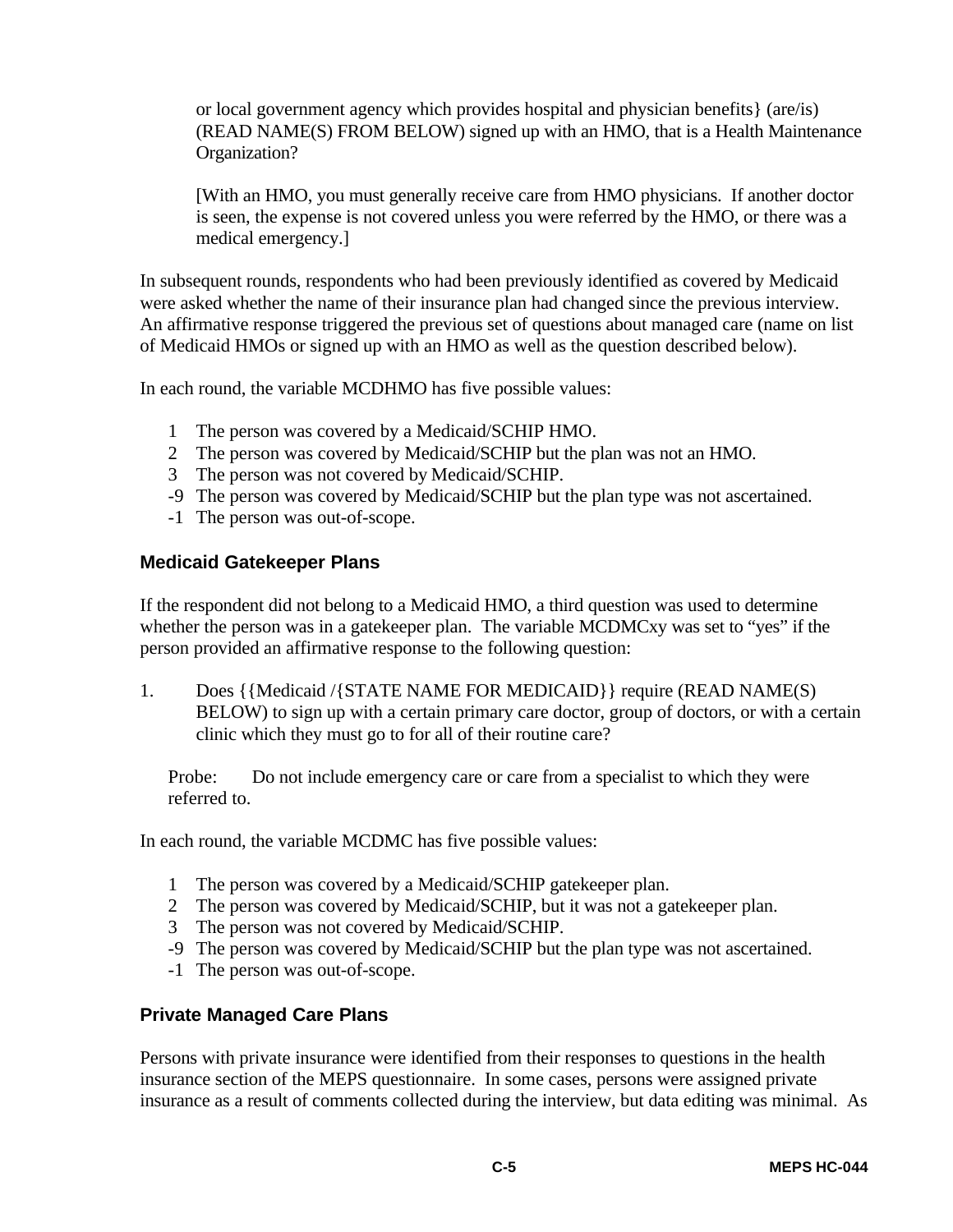or local government agency which provides hospital and physician benefits} (are/is) (READ NAME(S) FROM BELOW) signed up with an HMO, that is a Health Maintenance Organization?

[With an HMO, you must generally receive care from HMO physicians. If another doctor is seen, the expense is not covered unless you were referred by the HMO, or there was a medical emergency.]

In subsequent rounds, respondents who had been previously identified as covered by Medicaid were asked whether the name of their insurance plan had changed since the previous interview. An affirmative response triggered the previous set of questions about managed care (name on list of Medicaid HMOs or signed up with an HMO as well as the question described below).

In each round, the variable MCDHMO has five possible values:

- 1 The person was covered by a Medicaid/SCHIP HMO.
- 2 The person was covered by Medicaid/SCHIP but the plan was not an HMO.
- 3 The person was not covered by Medicaid/SCHIP.
- -9 The person was covered by Medicaid/SCHIP but the plan type was not ascertained.
- -1 The person was out-of-scope.

#### **Medicaid Gatekeeper Plans**

If the respondent did not belong to a Medicaid HMO, a third question was used to determine whether the person was in a gatekeeper plan. The variable MCDMCxy was set to "yes" if the person provided an affirmative response to the following question:

1. Does {{Medicaid /{STATE NAME FOR MEDICAID}} require (READ NAME(S) BELOW) to sign up with a certain primary care doctor, group of doctors, or with a certain clinic which they must go to for all of their routine care?

Probe: Do not include emergency care or care from a specialist to which they were referred to.

In each round, the variable MCDMC has five possible values:

- 1 The person was covered by a Medicaid/SCHIP gatekeeper plan.
- 2 The person was covered by Medicaid/SCHIP, but it was not a gatekeeper plan.
- 3 The person was not covered by Medicaid/SCHIP.
- -9 The person was covered by Medicaid/SCHIP but the plan type was not ascertained.
- -1 The person was out-of-scope.

# **Private Managed Care Plans**

Persons with private insurance were identified from their responses to questions in the health insurance section of the MEPS questionnaire. In some cases, persons were assigned private insurance as a result of comments collected during the interview, but data editing was minimal. As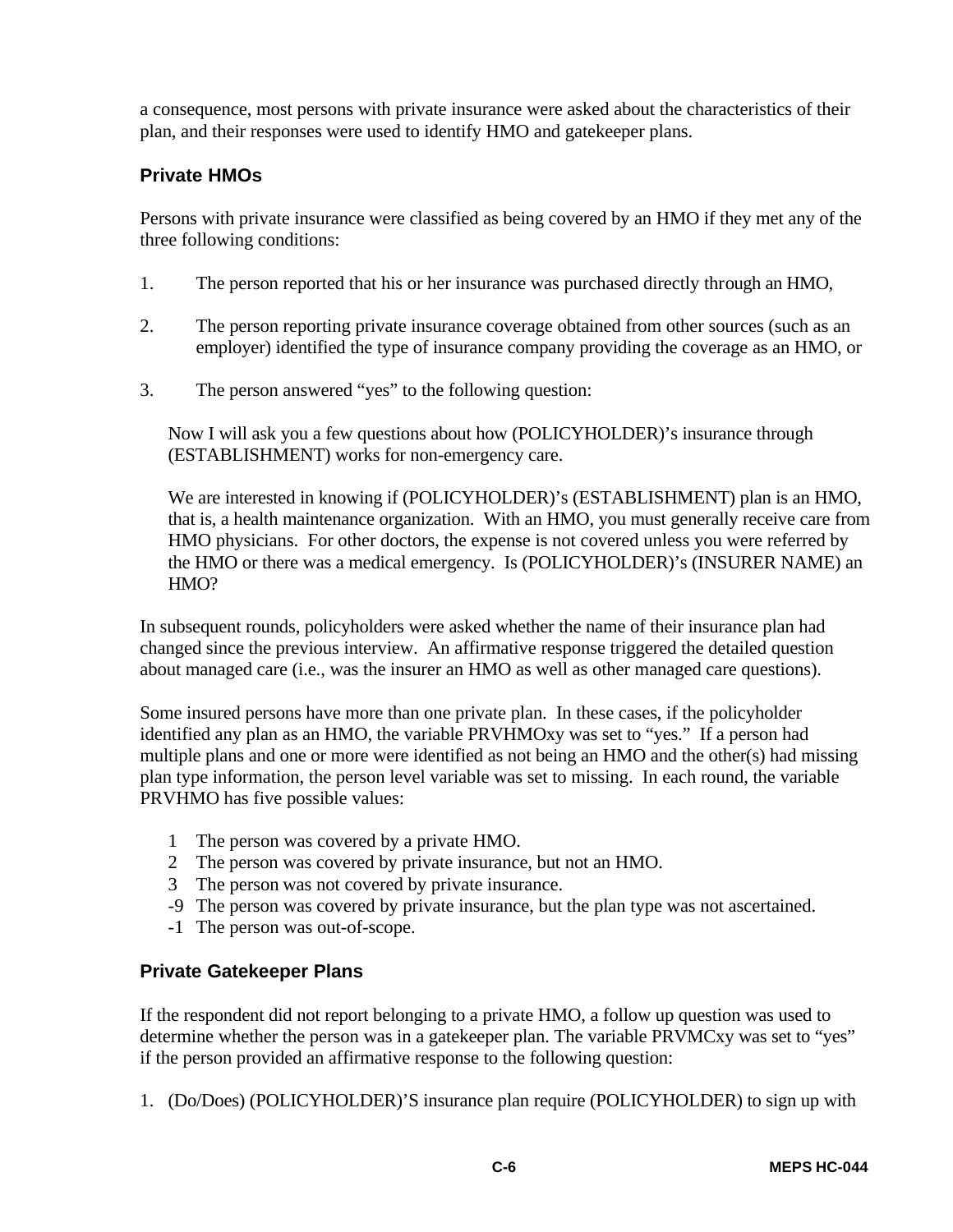a consequence, most persons with private insurance were asked about the characteristics of their plan, and their responses were used to identify HMO and gatekeeper plans.

# **Private HMOs**

Persons with private insurance were classified as being covered by an HMO if they met any of the three following conditions:

- 1. The person reported that his or her insurance was purchased directly through an HMO,
- 2. The person reporting private insurance coverage obtained from other sources (such as an employer) identified the type of insurance company providing the coverage as an HMO, or
- 3. The person answered "yes" to the following question:

Now I will ask you a few questions about how (POLICYHOLDER)'s insurance through (ESTABLISHMENT) works for non-emergency care.

We are interested in knowing if (POLICYHOLDER)'s (ESTABLISHMENT) plan is an HMO, that is, a health maintenance organization. With an HMO, you must generally receive care from HMO physicians. For other doctors, the expense is not covered unless you were referred by the HMO or there was a medical emergency. Is (POLICYHOLDER)'s (INSURER NAME) an HMO?

In subsequent rounds, policyholders were asked whether the name of their insurance plan had changed since the previous interview. An affirmative response triggered the detailed question about managed care (i.e., was the insurer an HMO as well as other managed care questions).

Some insured persons have more than one private plan. In these cases, if the policyholder identified any plan as an HMO, the variable PRVHMOxy was set to "yes." If a person had multiple plans and one or more were identified as not being an HMO and the other(s) had missing plan type information, the person level variable was set to missing. In each round, the variable PRVHMO has five possible values:

- 1 The person was covered by a private HMO.
- 2 The person was covered by private insurance, but not an HMO.
- 3 The person was not covered by private insurance.
- -9 The person was covered by private insurance, but the plan type was not ascertained.
- -1 The person was out-of-scope.

#### **Private Gatekeeper Plans**

If the respondent did not report belonging to a private HMO, a follow up question was used to determine whether the person was in a gatekeeper plan. The variable PRVMCxy was set to "yes" if the person provided an affirmative response to the following question:

1. (Do/Does) (POLICYHOLDER)'S insurance plan require (POLICYHOLDER) to sign up with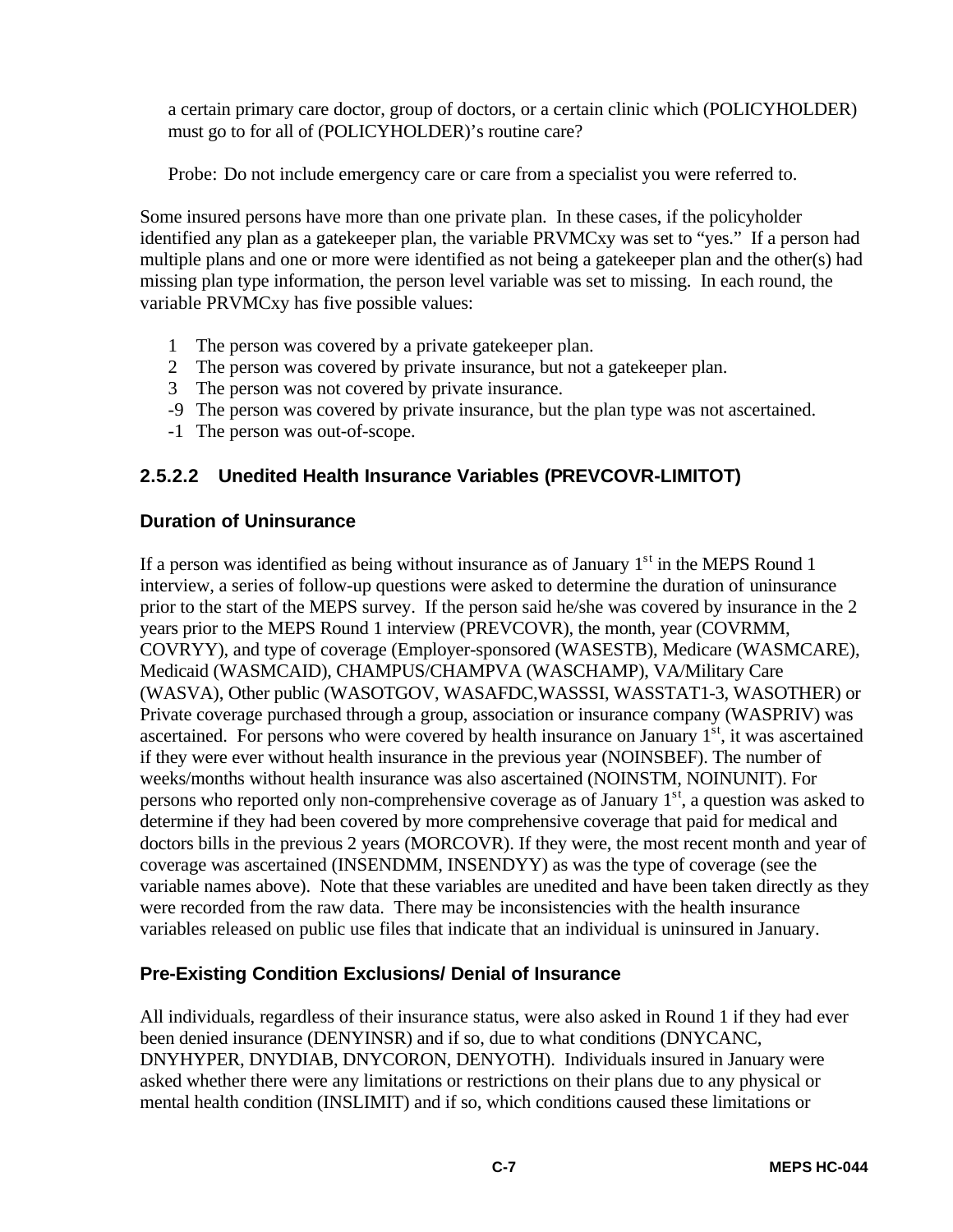a certain primary care doctor, group of doctors, or a certain clinic which (POLICYHOLDER) must go to for all of (POLICYHOLDER)'s routine care?

Probe: Do not include emergency care or care from a specialist you were referred to.

Some insured persons have more than one private plan. In these cases, if the policyholder identified any plan as a gatekeeper plan, the variable PRVMCxy was set to "yes." If a person had multiple plans and one or more were identified as not being a gatekeeper plan and the other(s) had missing plan type information, the person level variable was set to missing. In each round, the variable PRVMCxy has five possible values:

- 1 The person was covered by a private gatekeeper plan.
- 2 The person was covered by private insurance, but not a gatekeeper plan.
- 3 The person was not covered by private insurance.
- -9 The person was covered by private insurance, but the plan type was not ascertained.
- -1 The person was out-of-scope.

# **2.5.2.2 Unedited Health Insurance Variables (PREVCOVR-LIMITOT)**

#### **Duration of Uninsurance**

If a person was identified as being without insurance as of January  $1<sup>st</sup>$  in the MEPS Round 1 interview, a series of follow-up questions were asked to determine the duration of uninsurance prior to the start of the MEPS survey. If the person said he/she was covered by insurance in the 2 years prior to the MEPS Round 1 interview (PREVCOVR), the month, year (COVRMM, COVRYY), and type of coverage (Employer-sponsored (WASESTB), Medicare (WASMCARE), Medicaid (WASMCAID), CHAMPUS/CHAMPVA (WASCHAMP), VA/Military Care (WASVA), Other public (WASOTGOV, WASAFDC,WASSSI, WASSTAT1-3, WASOTHER) or Private coverage purchased through a group, association or insurance company (WASPRIV) was ascertained. For persons who were covered by health insurance on January  $1<sup>st</sup>$ , it was ascertained if they were ever without health insurance in the previous year (NOINSBEF). The number of weeks/months without health insurance was also ascertained (NOINSTM, NOINUNIT). For persons who reported only non-comprehensive coverage as of January  $1<sup>st</sup>$ , a question was asked to determine if they had been covered by more comprehensive coverage that paid for medical and doctors bills in the previous 2 years (MORCOVR). If they were, the most recent month and year of coverage was ascertained (INSENDMM, INSENDYY) as was the type of coverage (see the variable names above). Note that these variables are unedited and have been taken directly as they were recorded from the raw data. There may be inconsistencies with the health insurance variables released on public use files that indicate that an individual is uninsured in January.

# **Pre-Existing Condition Exclusions/ Denial of Insurance**

All individuals, regardless of their insurance status, were also asked in Round 1 if they had ever been denied insurance (DENYINSR) and if so, due to what conditions (DNYCANC, DNYHYPER, DNYDIAB, DNYCORON, DENYOTH). Individuals insured in January were asked whether there were any limitations or restrictions on their plans due to any physical or mental health condition (INSLIMIT) and if so, which conditions caused these limitations or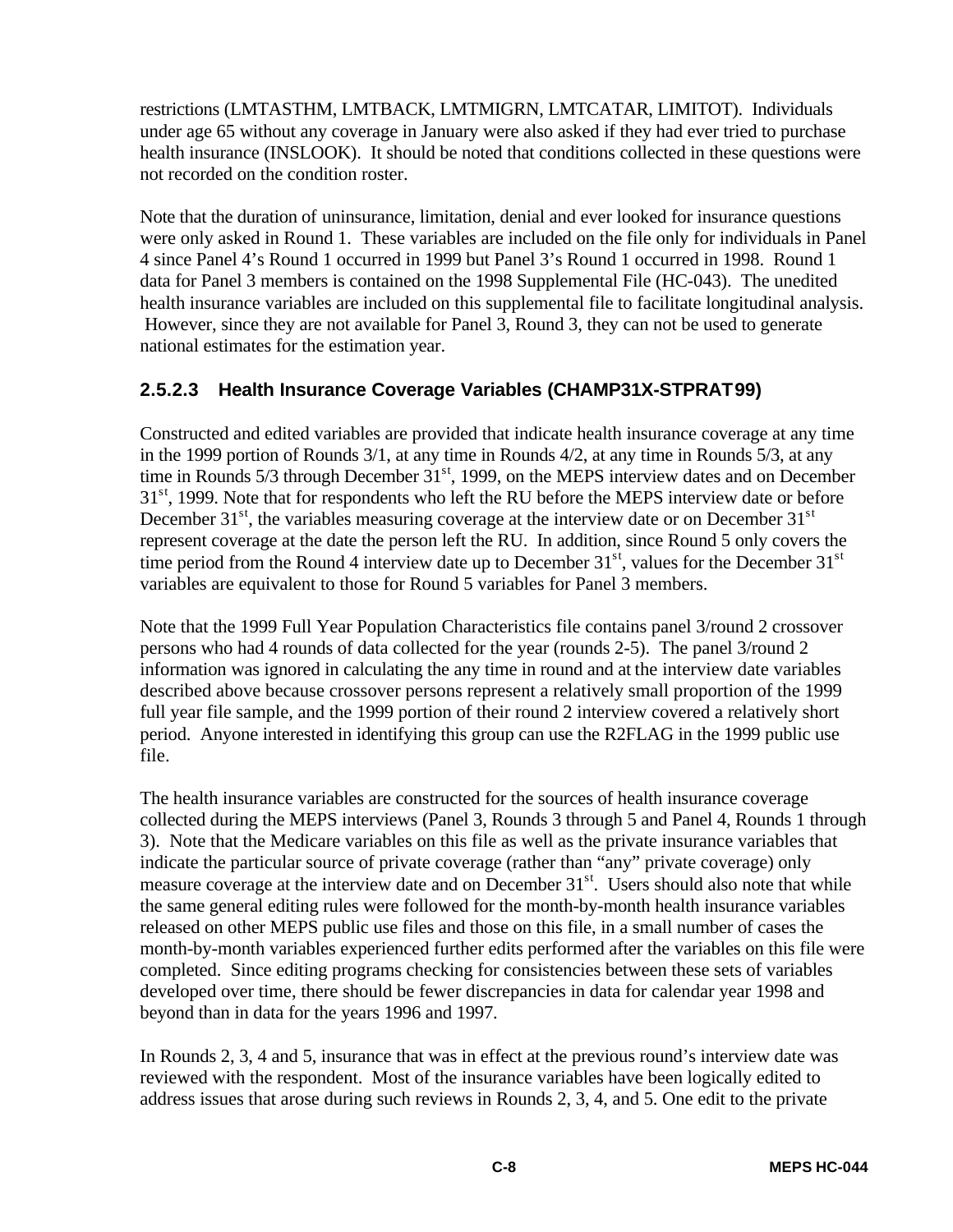restrictions (LMTASTHM, LMTBACK, LMTMIGRN, LMTCATAR, LIMITOT). Individuals under age 65 without any coverage in January were also asked if they had ever tried to purchase health insurance (INSLOOK). It should be noted that conditions collected in these questions were not recorded on the condition roster.

Note that the duration of uninsurance, limitation, denial and ever looked for insurance questions were only asked in Round 1. These variables are included on the file only for individuals in Panel 4 since Panel 4's Round 1 occurred in 1999 but Panel 3's Round 1 occurred in 1998. Round 1 data for Panel 3 members is contained on the 1998 Supplemental File (HC-043). The unedited health insurance variables are included on this supplemental file to facilitate longitudinal analysis. However, since they are not available for Panel 3, Round 3, they can not be used to generate national estimates for the estimation year.

# **2.5.2.3 Health Insurance Coverage Variables (CHAMP31X-STPRAT99)**

Constructed and edited variables are provided that indicate health insurance coverage at any time in the 1999 portion of Rounds 3/1, at any time in Rounds 4/2, at any time in Rounds 5/3, at any time in Rounds 5/3 through December 31<sup>st</sup>, 1999, on the MEPS interview dates and on December  $31<sup>st</sup>$ , 1999. Note that for respondents who left the RU before the MEPS interview date or before December  $31<sup>st</sup>$ , the variables measuring coverage at the interview date or on December  $31<sup>st</sup>$ represent coverage at the date the person left the RU. In addition, since Round 5 only covers the time period from the Round 4 interview date up to December  $31<sup>st</sup>$ , values for the December  $31<sup>st</sup>$ variables are equivalent to those for Round 5 variables for Panel 3 members.

Note that the 1999 Full Year Population Characteristics file contains panel 3/round 2 crossover persons who had 4 rounds of data collected for the year (rounds 2-5). The panel 3/round 2 information was ignored in calculating the any time in round and at the interview date variables described above because crossover persons represent a relatively small proportion of the 1999 full year file sample, and the 1999 portion of their round 2 interview covered a relatively short period. Anyone interested in identifying this group can use the R2FLAG in the 1999 public use file.

The health insurance variables are constructed for the sources of health insurance coverage collected during the MEPS interviews (Panel 3, Rounds 3 through 5 and Panel 4, Rounds 1 through 3). Note that the Medicare variables on this file as well as the private insurance variables that indicate the particular source of private coverage (rather than "any" private coverage) only measure coverage at the interview date and on December 31<sup>st</sup>. Users should also note that while the same general editing rules were followed for the month-by-month health insurance variables released on other MEPS public use files and those on this file, in a small number of cases the month-by-month variables experienced further edits performed after the variables on this file were completed. Since editing programs checking for consistencies between these sets of variables developed over time, there should be fewer discrepancies in data for calendar year 1998 and beyond than in data for the years 1996 and 1997.

In Rounds 2, 3, 4 and 5, insurance that was in effect at the previous round's interview date was reviewed with the respondent. Most of the insurance variables have been logically edited to address issues that arose during such reviews in Rounds 2, 3, 4, and 5. One edit to the private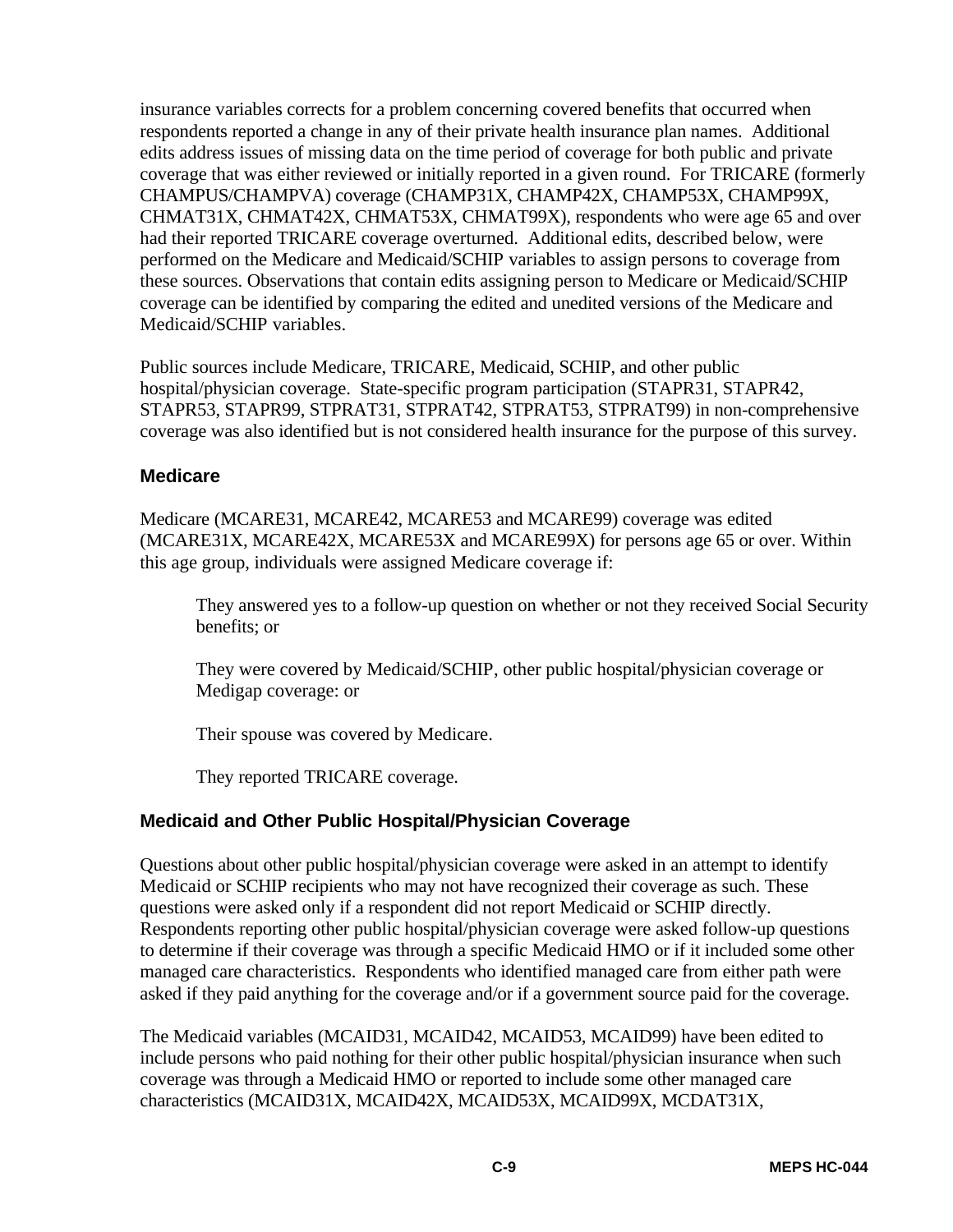insurance variables corrects for a problem concerning covered benefits that occurred when respondents reported a change in any of their private health insurance plan names. Additional edits address issues of missing data on the time period of coverage for both public and private coverage that was either reviewed or initially reported in a given round. For TRICARE (formerly CHAMPUS/CHAMPVA) coverage (CHAMP31X, CHAMP42X, CHAMP53X, CHAMP99X, CHMAT31X, CHMAT42X, CHMAT53X, CHMAT99X), respondents who were age 65 and over had their reported TRICARE coverage overturned. Additional edits, described below, were performed on the Medicare and Medicaid/SCHIP variables to assign persons to coverage from these sources. Observations that contain edits assigning person to Medicare or Medicaid/SCHIP coverage can be identified by comparing the edited and unedited versions of the Medicare and Medicaid/SCHIP variables.

Public sources include Medicare, TRICARE, Medicaid, SCHIP, and other public hospital/physician coverage. State-specific program participation (STAPR31, STAPR42, STAPR53, STAPR99, STPRAT31, STPRAT42, STPRAT53, STPRAT99) in non-comprehensive coverage was also identified but is not considered health insurance for the purpose of this survey.

#### **Medicare**

Medicare (MCARE31, MCARE42, MCARE53 and MCARE99) coverage was edited (MCARE31X, MCARE42X, MCARE53X and MCARE99X) for persons age 65 or over. Within this age group, individuals were assigned Medicare coverage if:

They answered yes to a follow-up question on whether or not they received Social Security benefits; or

They were covered by Medicaid/SCHIP, other public hospital/physician coverage or Medigap coverage: or

Their spouse was covered by Medicare.

They reported TRICARE coverage.

#### **Medicaid and Other Public Hospital/Physician Coverage**

Questions about other public hospital/physician coverage were asked in an attempt to identify Medicaid or SCHIP recipients who may not have recognized their coverage as such. These questions were asked only if a respondent did not report Medicaid or SCHIP directly. Respondents reporting other public hospital/physician coverage were asked follow-up questions to determine if their coverage was through a specific Medicaid HMO or if it included some other managed care characteristics. Respondents who identified managed care from either path were asked if they paid anything for the coverage and/or if a government source paid for the coverage.

The Medicaid variables (MCAID31, MCAID42, MCAID53, MCAID99) have been edited to include persons who paid nothing for their other public hospital/physician insurance when such coverage was through a Medicaid HMO or reported to include some other managed care characteristics (MCAID31X, MCAID42X, MCAID53X, MCAID99X, MCDAT31X,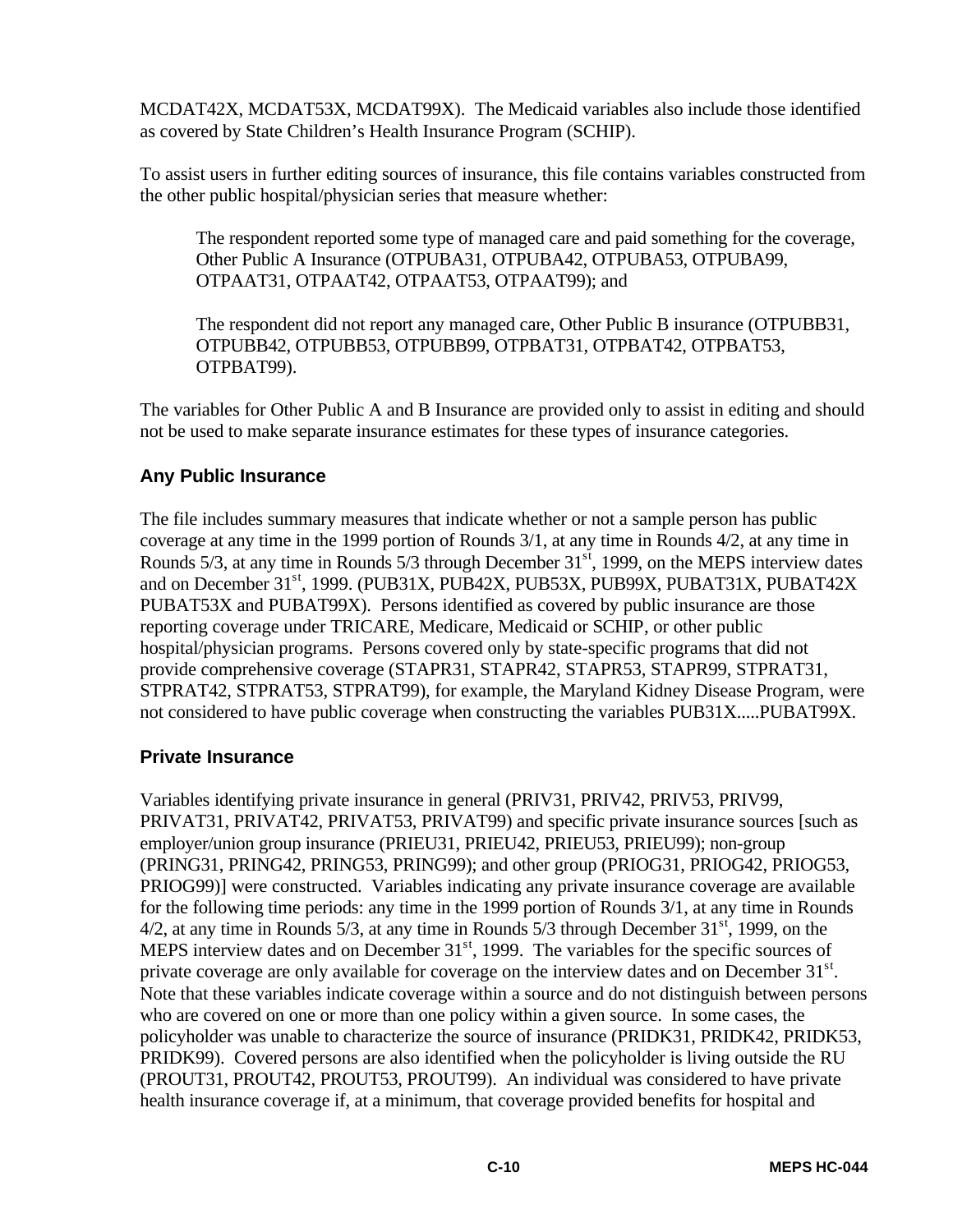MCDAT42X, MCDAT53X, MCDAT99X). The Medicaid variables also include those identified as covered by State Children's Health Insurance Program (SCHIP).

To assist users in further editing sources of insurance, this file contains variables constructed from the other public hospital/physician series that measure whether:

The respondent reported some type of managed care and paid something for the coverage, Other Public A Insurance (OTPUBA31, OTPUBA42, OTPUBA53, OTPUBA99, OTPAAT31, OTPAAT42, OTPAAT53, OTPAAT99); and

The respondent did not report any managed care, Other Public B insurance (OTPUBB31, OTPUBB42, OTPUBB53, OTPUBB99, OTPBAT31, OTPBAT42, OTPBAT53, OTPBAT99).

The variables for Other Public A and B Insurance are provided only to assist in editing and should not be used to make separate insurance estimates for these types of insurance categories.

# **Any Public Insurance**

The file includes summary measures that indicate whether or not a sample person has public coverage at any time in the 1999 portion of Rounds 3/1, at any time in Rounds 4/2, at any time in Rounds  $5/3$ , at any time in Rounds  $5/3$  through December  $31<sup>st</sup>$ , 1999, on the MEPS interview dates and on December 31<sup>st</sup>, 1999. (PUB31X, PUB42X, PUB53X, PUB99X, PUBAT31X, PUBAT42X PUBAT53X and PUBAT99X). Persons identified as covered by public insurance are those reporting coverage under TRICARE, Medicare, Medicaid or SCHIP, or other public hospital/physician programs. Persons covered only by state-specific programs that did not provide comprehensive coverage (STAPR31, STAPR42, STAPR53, STAPR99, STPRAT31, STPRAT42, STPRAT53, STPRAT99), for example, the Maryland Kidney Disease Program, were not considered to have public coverage when constructing the variables PUB31X.....PUBAT99X.

#### **Private Insurance**

Variables identifying private insurance in general (PRIV31, PRIV42, PRIV53, PRIV99, PRIVAT31, PRIVAT42, PRIVAT53, PRIVAT99) and specific private insurance sources [such as employer/union group insurance (PRIEU31, PRIEU42, PRIEU53, PRIEU99); non-group (PRING31, PRING42, PRING53, PRING99); and other group (PRIOG31, PRIOG42, PRIOG53, PRIOG99)] were constructed. Variables indicating any private insurance coverage are available for the following time periods: any time in the 1999 portion of Rounds 3/1, at any time in Rounds  $4/2$ , at any time in Rounds 5/3, at any time in Rounds 5/3 through December 31<sup>st</sup>, 1999, on the MEPS interview dates and on December  $31<sup>st</sup>$ , 1999. The variables for the specific sources of private coverage are only available for coverage on the interview dates and on December  $31^{st}$ . Note that these variables indicate coverage within a source and do not distinguish between persons who are covered on one or more than one policy within a given source. In some cases, the policyholder was unable to characterize the source of insurance (PRIDK31, PRIDK42, PRIDK53, PRIDK99). Covered persons are also identified when the policyholder is living outside the RU (PROUT31, PROUT42, PROUT53, PROUT99). An individual was considered to have private health insurance coverage if, at a minimum, that coverage provided benefits for hospital and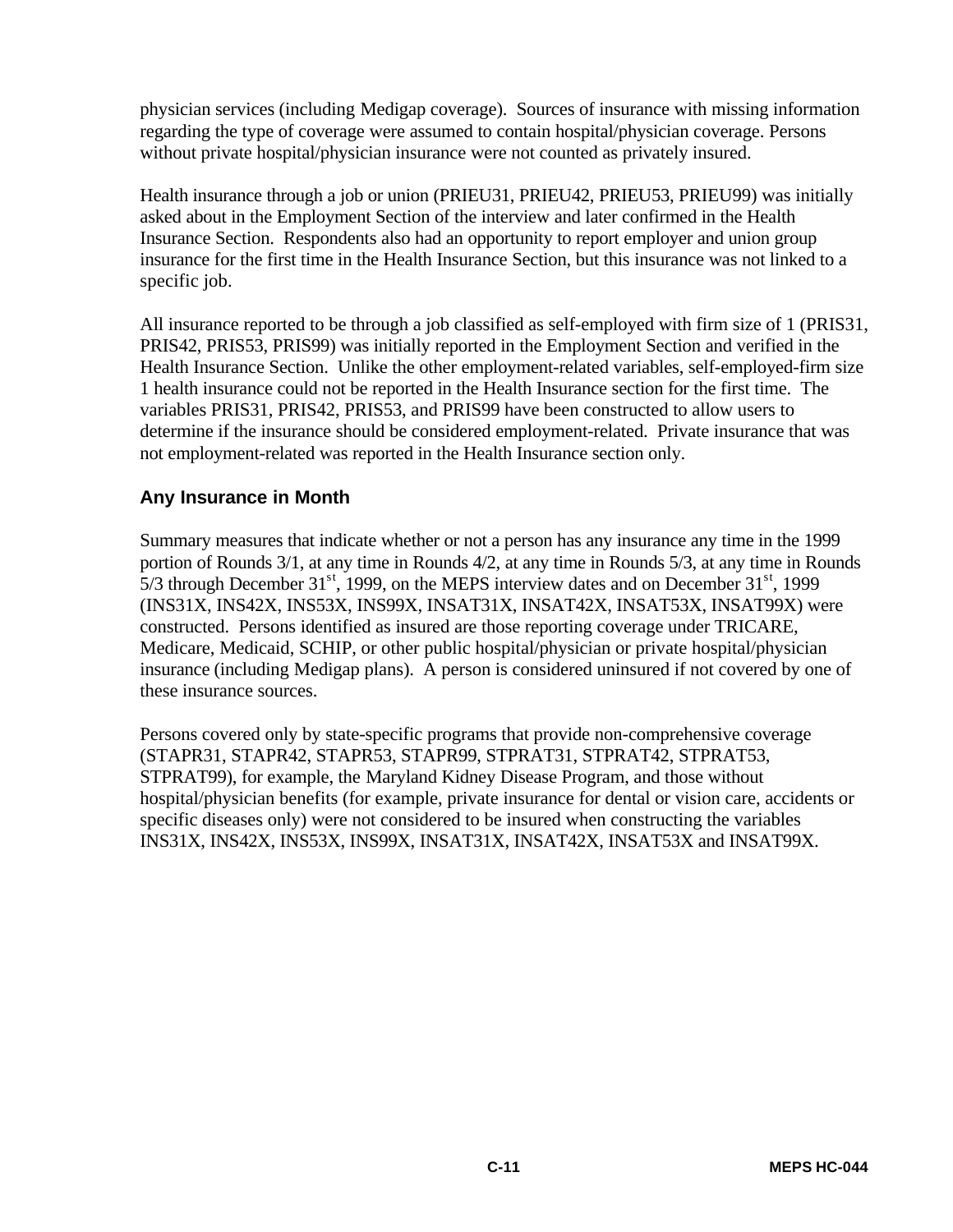physician services (including Medigap coverage). Sources of insurance with missing information regarding the type of coverage were assumed to contain hospital/physician coverage. Persons without private hospital/physician insurance were not counted as privately insured.

Health insurance through a job or union (PRIEU31, PRIEU42, PRIEU53, PRIEU99) was initially asked about in the Employment Section of the interview and later confirmed in the Health Insurance Section. Respondents also had an opportunity to report employer and union group insurance for the first time in the Health Insurance Section, but this insurance was not linked to a specific job.

All insurance reported to be through a job classified as self-employed with firm size of 1 (PRIS31, PRIS42, PRIS53, PRIS99) was initially reported in the Employment Section and verified in the Health Insurance Section. Unlike the other employment-related variables, self-employed-firm size 1 health insurance could not be reported in the Health Insurance section for the first time. The variables PRIS31, PRIS42, PRIS53, and PRIS99 have been constructed to allow users to determine if the insurance should be considered employment-related. Private insurance that was not employment-related was reported in the Health Insurance section only.

#### **Any Insurance in Month**

Summary measures that indicate whether or not a person has any insurance any time in the 1999 portion of Rounds 3/1, at any time in Rounds 4/2, at any time in Rounds 5/3, at any time in Rounds 5/3 through December  $31<sup>st</sup>$ , 1999, on the MEPS interview dates and on December  $31<sup>st</sup>$ , 1999 (INS31X, INS42X, INS53X, INS99X, INSAT31X, INSAT42X, INSAT53X, INSAT99X) were constructed. Persons identified as insured are those reporting coverage under TRICARE, Medicare, Medicaid, SCHIP, or other public hospital/physician or private hospital/physician insurance (including Medigap plans). A person is considered uninsured if not covered by one of these insurance sources.

Persons covered only by state-specific programs that provide non-comprehensive coverage (STAPR31, STAPR42, STAPR53, STAPR99, STPRAT31, STPRAT42, STPRAT53, STPRAT99), for example, the Maryland Kidney Disease Program, and those without hospital/physician benefits (for example, private insurance for dental or vision care, accidents or specific diseases only) were not considered to be insured when constructing the variables INS31X, INS42X, INS53X, INS99X, INSAT31X, INSAT42X, INSAT53X and INSAT99X.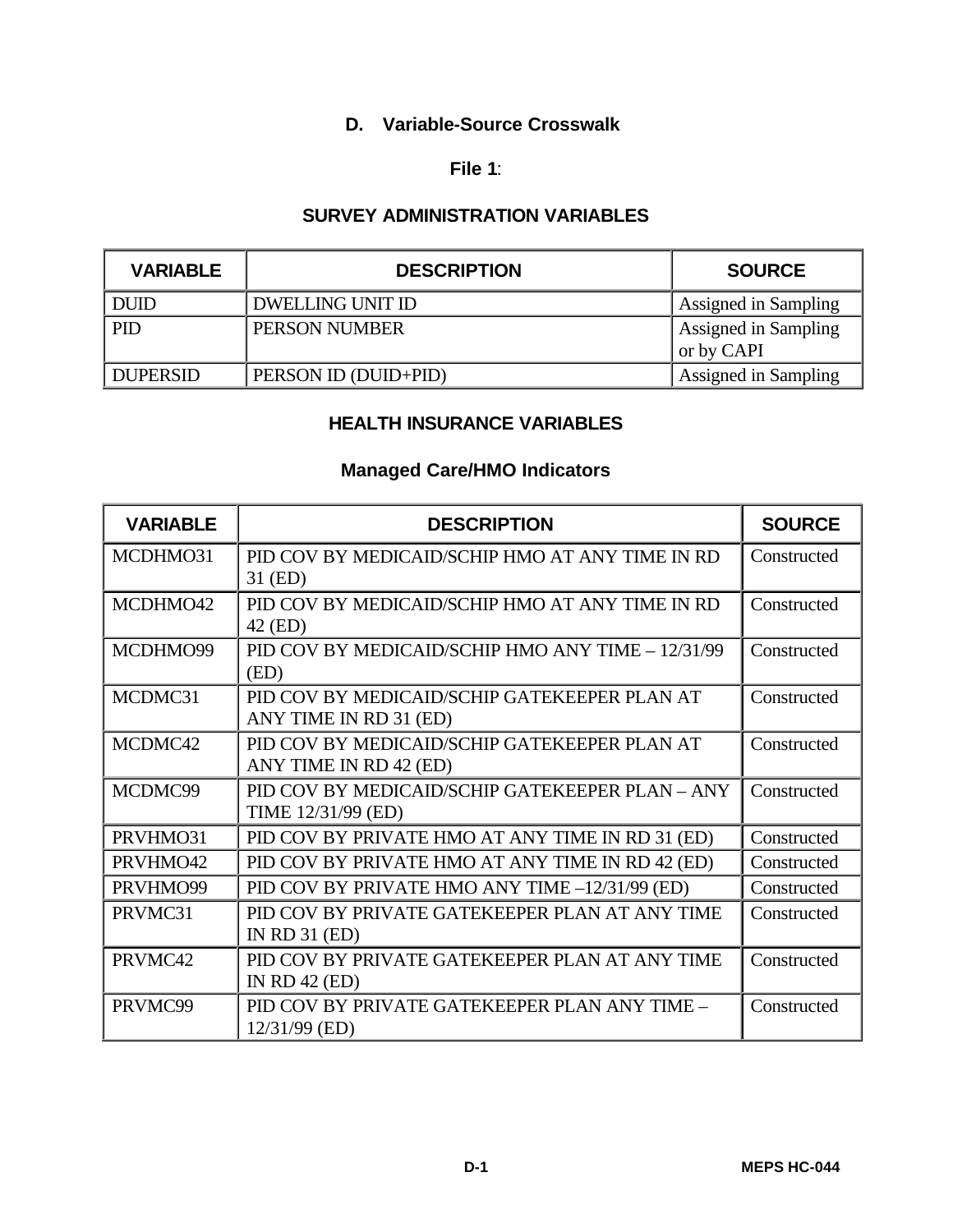# **D. Variable-Source Crosswalk**

#### **File 1**:

# **SURVEY ADMINISTRATION VARIABLES**

| <b>VARIABLE</b> | <b>DESCRIPTION</b>   | <b>SOURCE</b>                      |
|-----------------|----------------------|------------------------------------|
| <b>DUID</b>     | DWELLING UNIT ID     | Assigned in Sampling               |
| PID             | PERSON NUMBER        | Assigned in Sampling<br>or by CAPI |
| <b>DUPERSID</b> | PERSON ID (DUID+PID) | Assigned in Sampling               |

# **HEALTH INSURANCE VARIABLES**

#### **Managed Care/HMO Indicators**

| <b>VARIABLE</b> | <b>DESCRIPTION</b>                                                     | <b>SOURCE</b> |
|-----------------|------------------------------------------------------------------------|---------------|
| MCDHMO31        | PID COV BY MEDICAID/SCHIP HMO AT ANY TIME IN RD<br>31 (ED)             | Constructed   |
| MCDHMO42        | PID COV BY MEDICAID/SCHIP HMO AT ANY TIME IN RD<br>42 (ED)             | Constructed   |
| MCDHMO99        | PID COV BY MEDICAID/SCHIP HMO ANY TIME - 12/31/99<br>(ED)              | Constructed   |
| MCDMC31         | PID COV BY MEDICAID/SCHIP GATEKEEPER PLAN AT<br>ANY TIME IN RD 31 (ED) | Constructed   |
| MCDMC42         | PID COV BY MEDICAID/SCHIP GATEKEEPER PLAN AT<br>ANY TIME IN RD 42 (ED) | Constructed   |
| MCDMC99         | PID COV BY MEDICAID/SCHIP GATEKEEPER PLAN - ANY<br>TIME 12/31/99 (ED)  | Constructed   |
| PRVHMO31        | PID COV BY PRIVATE HMO AT ANY TIME IN RD 31 (ED)                       | Constructed   |
| PRVHMO42        | PID COV BY PRIVATE HMO AT ANY TIME IN RD 42 (ED)                       | Constructed   |
| PRVHMO99        | PID COV BY PRIVATE HMO ANY TIME -12/31/99 (ED)                         | Constructed   |
| PRVMC31         | PID COV BY PRIVATE GATEKEEPER PLAN AT ANY TIME<br>IN RD $31$ (ED)      | Constructed   |
| PRVMC42         | PID COV BY PRIVATE GATEKEEPER PLAN AT ANY TIME<br>IN RD $42$ (ED)      | Constructed   |
| PRVMC99         | PID COV BY PRIVATE GATEKEEPER PLAN ANY TIME -<br>12/31/99 (ED)         | Constructed   |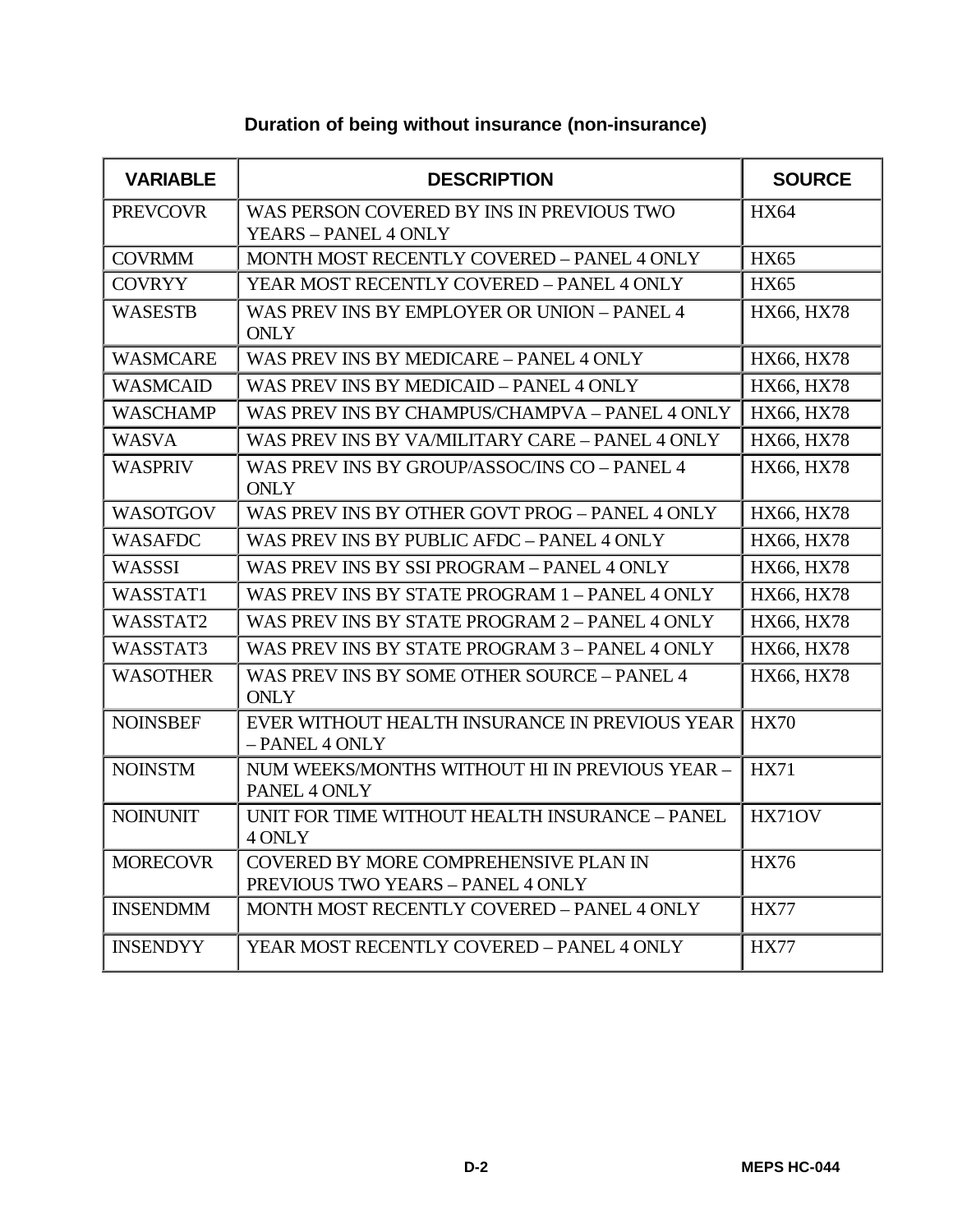#### **VARIABLE DESCRIPTION SOURCE** PREVCOVR WAS PERSON COVERED BY INS IN PREVIOUS TWO YEARS – PANEL 4 ONLY HX64 COVRMM MONTH MOST RECENTLY COVERED – PANEL 4 ONLY HX65 COVRYY YEAR MOST RECENTLY COVERED – PANEL 4 ONLY HX65 WASESTB WAS PREV INS BY EMPLOYER OR UNION – PANEL 4 **ONLY** HX66, HX78 WASMCARE WAS PREV INS BY MEDICARE – PANEL 4 ONLY HX66, HX78 WASMCAID WAS PREV INS BY MEDICAID – PANEL 4 ONLY HX66, HX78 WASCHAMP WAS PREV INS BY CHAMPUS/CHAMPVA – PANEL 4 ONLY | HX66, HX78 WASVA WAS PREV INS BY VA/MILITARY CARE – PANEL 4 ONLY | HX66, HX78 WASPRIV WAS PREV INS BY GROUP/ASSOC/INS CO – PANEL 4 ONLY HX66, HX78 WASOTGOV WAS PREV INS BY OTHER GOVT PROG – PANEL 4 ONLY HX66, HX78 WASAFDC WAS PREV INS BY PUBLIC AFDC – PANEL 4 ONLY HX66, HX78 WASSSI WAS PREV INS BY SSI PROGRAM – PANEL 4 ONLY HX66, HX78 WASSTAT1 WAS PREV INS BY STATE PROGRAM 1 – PANEL 4 ONLY HX66, HX78 WASSTAT2 WAS PREV INS BY STATE PROGRAM 2 – PANEL 4 ONLY  $|$  HX66, HX78 WASSTAT3 WAS PREV INS BY STATE PROGRAM  $3$  – PANEL 4 ONLY HX66, HX78 WASOTHER WAS PREV INS BY SOME OTHER SOURCE – PANEL 4 **ONLY** HX66, HX78 NOINSBEF EVER WITHOUT HEALTH INSURANCE IN PREVIOUS YEAR – PANEL 4 ONLY HX70 NOINSTM NUM WEEKS/MONTHS WITHOUT HI IN PREVIOUS YEAR – PANEL 4 ONLY HX71 NOINUNIT UNIT FOR TIME WITHOUT HEALTH INSURANCE – PANEL 4 ONLY HX71OV MORECOVR COVERED BY MORE COMPREHENSIVE PLAN IN PREVIOUS TWO YEARS – PANEL 4 ONLY HX76 INSENDMM MONTH MOST RECENTLY COVERED – PANEL 4 ONLY HX77 INSENDYY | YEAR MOST RECENTLY COVERED – PANEL 4 ONLY | HX77

#### **Duration of being without insurance (non-insurance)**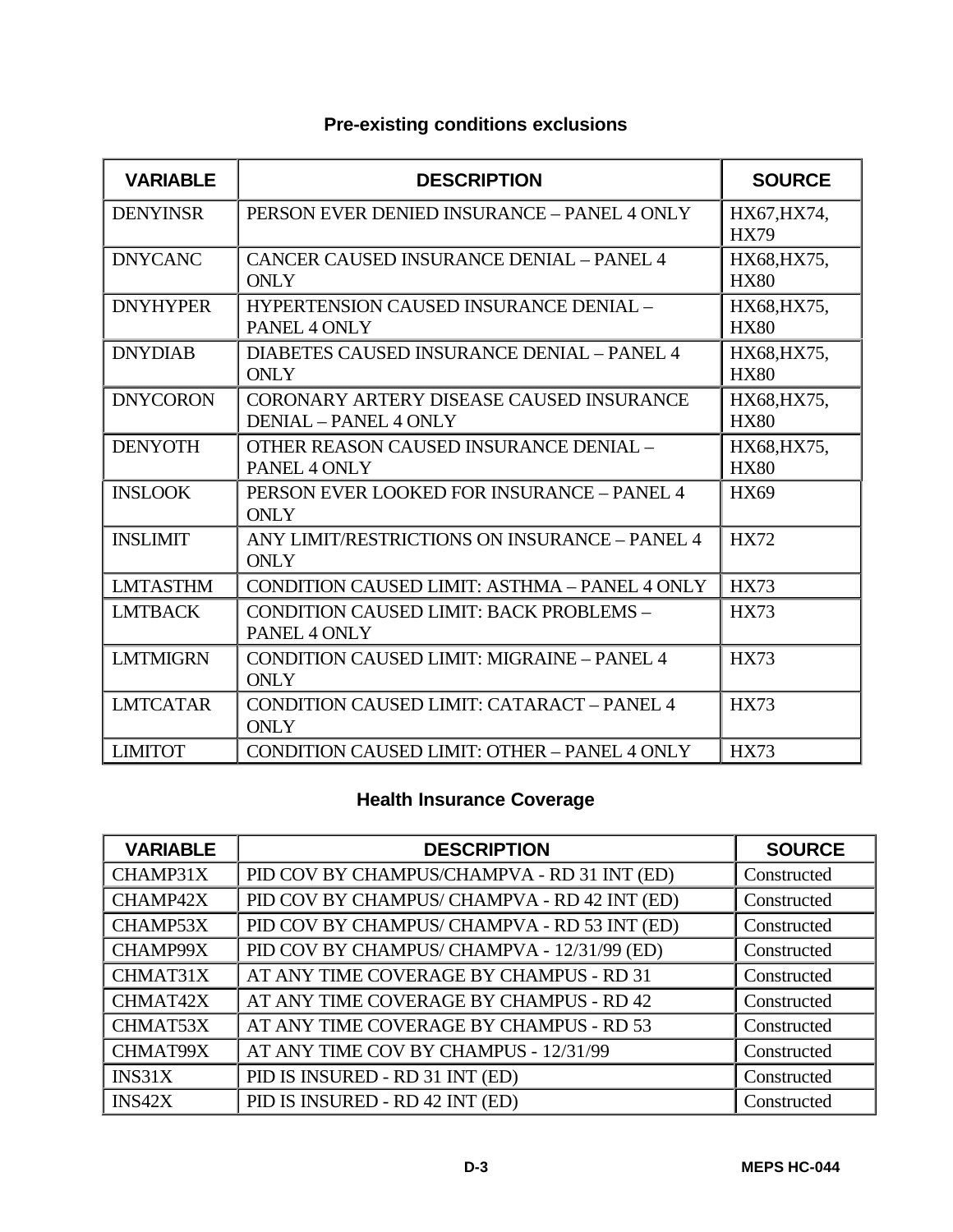| <b>VARIABLE</b> | <b>DESCRIPTION</b>                                                | <b>SOURCE</b>              |
|-----------------|-------------------------------------------------------------------|----------------------------|
| <b>DENYINSR</b> | PERSON EVER DENIED INSURANCE - PANEL 4 ONLY                       | HX67, HX74,<br><b>HX79</b> |
| <b>DNYCANC</b>  | <b>CANCER CAUSED INSURANCE DENIAL - PANEL 4</b><br><b>ONLY</b>    | HX68, HX75,<br><b>HX80</b> |
| <b>DNYHYPER</b> | HYPERTENSION CAUSED INSURANCE DENIAL -<br>PANEL 4 ONLY            | HX68, HX75,<br><b>HX80</b> |
| <b>DNYDIAB</b>  | DIABETES CAUSED INSURANCE DENIAL - PANEL 4<br><b>ONLY</b>         | HX68, HX75,<br><b>HX80</b> |
| <b>DNYCORON</b> | CORONARY ARTERY DISEASE CAUSED INSURANCE<br>DENIAL - PANEL 4 ONLY | HX68, HX75,<br><b>HX80</b> |
| <b>DENYOTH</b>  | OTHER REASON CAUSED INSURANCE DENIAL -<br>PANEL 4 ONLY            | HX68, HX75,<br><b>HX80</b> |
| <b>INSLOOK</b>  | PERSON EVER LOOKED FOR INSURANCE - PANEL 4<br><b>ONLY</b>         | <b>HX69</b>                |
| <b>INSLIMIT</b> | ANY LIMIT/RESTRICTIONS ON INSURANCE - PANEL 4<br><b>ONLY</b>      | <b>HX72</b>                |
| <b>LMTASTHM</b> | <b>CONDITION CAUSED LIMIT: ASTHMA - PANEL 4 ONLY</b>              | <b>HX73</b>                |
| <b>LMTBACK</b>  | <b>CONDITION CAUSED LIMIT: BACK PROBLEMS -</b><br>PANEL 4 ONLY    | <b>HX73</b>                |
| <b>LMTMIGRN</b> | <b>CONDITION CAUSED LIMIT: MIGRAINE - PANEL 4</b><br><b>ONLY</b>  | <b>HX73</b>                |
| <b>LMTCATAR</b> | <b>CONDITION CAUSED LIMIT: CATARACT - PANEL 4</b><br><b>ONLY</b>  | <b>HX73</b>                |
| <b>LIMITOT</b>  | <b>CONDITION CAUSED LIMIT: OTHER - PANEL 4 ONLY</b>               | <b>HX73</b>                |

# **Pre-existing conditions exclusions**

# **Health Insurance Coverage**

| <b>VARIABLE</b> | <b>DESCRIPTION</b>                           | <b>SOURCE</b> |
|-----------------|----------------------------------------------|---------------|
| CHAMP31X        | PID COV BY CHAMPUS/CHAMPVA - RD 31 INT (ED)  | Constructed   |
| CHAMP42X        | PID COV BY CHAMPUS/ CHAMPVA - RD 42 INT (ED) | Constructed   |
| CHAMP53X        | PID COV BY CHAMPUS/ CHAMPVA - RD 53 INT (ED) | Constructed   |
| CHAMP99X        | PID COV BY CHAMPUS/ CHAMPVA - 12/31/99 (ED)  | Constructed   |
| CHMAT31X        | AT ANY TIME COVERAGE BY CHAMPUS - RD 31      | Constructed   |
| CHMAT42X        | AT ANY TIME COVERAGE BY CHAMPUS - RD 42      | Constructed   |
| CHMAT53X        | AT ANY TIME COVERAGE BY CHAMPUS - RD 53      | Constructed   |
| CHMAT99X        | AT ANY TIME COV BY CHAMPUS - 12/31/99        | Constructed   |
| INS31X          | PID IS INSURED - RD 31 INT (ED)              | Constructed   |
| INS42X          | PID IS INSURED - RD 42 INT (ED)              | Constructed   |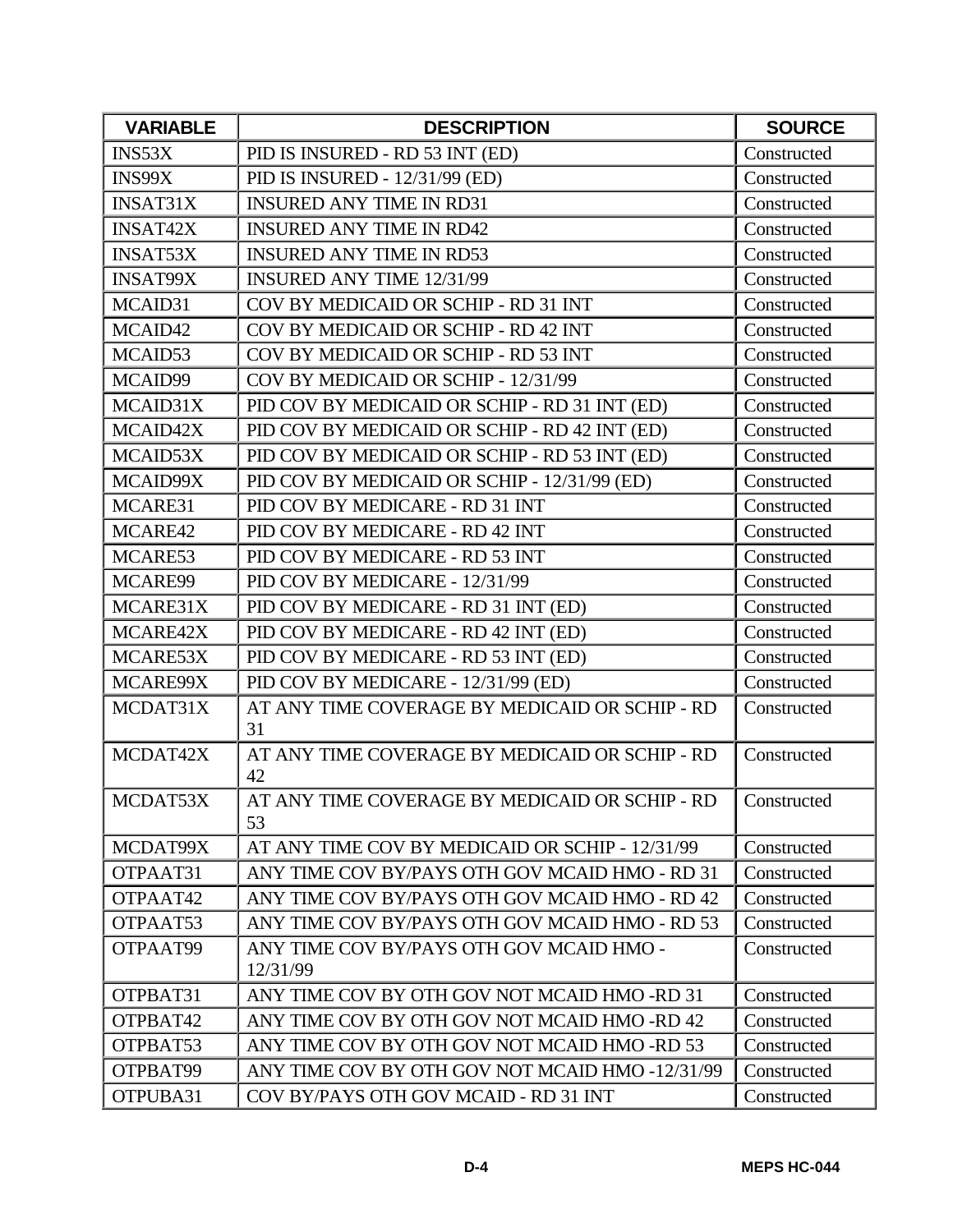| <b>VARIABLE</b> | <b>DESCRIPTION</b>                                   | <b>SOURCE</b> |
|-----------------|------------------------------------------------------|---------------|
| INS53X          | PID IS INSURED - RD 53 INT (ED)                      | Constructed   |
| INS99X          | PID IS INSURED - 12/31/99 (ED)                       | Constructed   |
| <b>INSAT31X</b> | <b>INSURED ANY TIME IN RD31</b>                      | Constructed   |
| <b>INSAT42X</b> | <b>INSURED ANY TIME IN RD42</b>                      | Constructed   |
| <b>INSAT53X</b> | <b>INSURED ANY TIME IN RD53</b>                      | Constructed   |
| <b>INSAT99X</b> | <b>INSURED ANY TIME 12/31/99</b>                     | Constructed   |
| MCAID31         | COV BY MEDICAID OR SCHIP - RD 31 INT                 | Constructed   |
| MCAID42         | COV BY MEDICAID OR SCHIP - RD 42 INT                 | Constructed   |
| MCAID53         | COV BY MEDICAID OR SCHIP - RD 53 INT                 | Constructed   |
| MCAID99         | COV BY MEDICAID OR SCHIP - 12/31/99                  | Constructed   |
| MCAID31X        | PID COV BY MEDICAID OR SCHIP - RD 31 INT (ED)        | Constructed   |
| MCAID42X        | PID COV BY MEDICAID OR SCHIP - RD 42 INT (ED)        | Constructed   |
| MCAID53X        | PID COV BY MEDICAID OR SCHIP - RD 53 INT (ED)        | Constructed   |
| MCAID99X        | PID COV BY MEDICAID OR SCHIP - 12/31/99 (ED)         | Constructed   |
| MCARE31         | PID COV BY MEDICARE - RD 31 INT                      | Constructed   |
| MCARE42         | PID COV BY MEDICARE - RD 42 INT                      | Constructed   |
| MCARE53         | PID COV BY MEDICARE - RD 53 INT                      | Constructed   |
| MCARE99         | PID COV BY MEDICARE - 12/31/99                       | Constructed   |
| MCARE31X        | PID COV BY MEDICARE - RD 31 INT (ED)                 | Constructed   |
| MCARE42X        | PID COV BY MEDICARE - RD 42 INT (ED)                 | Constructed   |
| MCARE53X        | PID COV BY MEDICARE - RD 53 INT (ED)                 | Constructed   |
| MCARE99X        | PID COV BY MEDICARE - 12/31/99 (ED)                  | Constructed   |
| MCDAT31X        | AT ANY TIME COVERAGE BY MEDICAID OR SCHIP - RD<br>31 | Constructed   |
| MCDAT42X        | AT ANY TIME COVERAGE BY MEDICAID OR SCHIP - RD<br>42 | Constructed   |
| MCDAT53X        | AT ANY TIME COVERAGE BY MEDICAID OR SCHIP - RD<br>53 | Constructed   |
| MCDAT99X        | AT ANY TIME COV BY MEDICAID OR SCHIP - 12/31/99      | Constructed   |
| OTPAAT31        | ANY TIME COV BY/PAYS OTH GOV MCAID HMO - RD 31       | Constructed   |
| OTPAAT42        | ANY TIME COV BY/PAYS OTH GOV MCAID HMO - RD 42       | Constructed   |
| OTPAAT53        | ANY TIME COV BY/PAYS OTH GOV MCAID HMO - RD 53       | Constructed   |
| OTPAAT99        | ANY TIME COV BY/PAYS OTH GOV MCAID HMO -<br>12/31/99 | Constructed   |
| OTPBAT31        | ANY TIME COV BY OTH GOV NOT MCAID HMO -RD 31         | Constructed   |
| OTPBAT42        | ANY TIME COV BY OTH GOV NOT MCAID HMO-RD 42          | Constructed   |
| OTPBAT53        | ANY TIME COV BY OTH GOV NOT MCAID HMO-RD 53          | Constructed   |
| OTPBAT99        | ANY TIME COV BY OTH GOV NOT MCAID HMO -12/31/99      | Constructed   |
| OTPUBA31        | COV BY/PAYS OTH GOV MCAID - RD 31 INT                | Constructed   |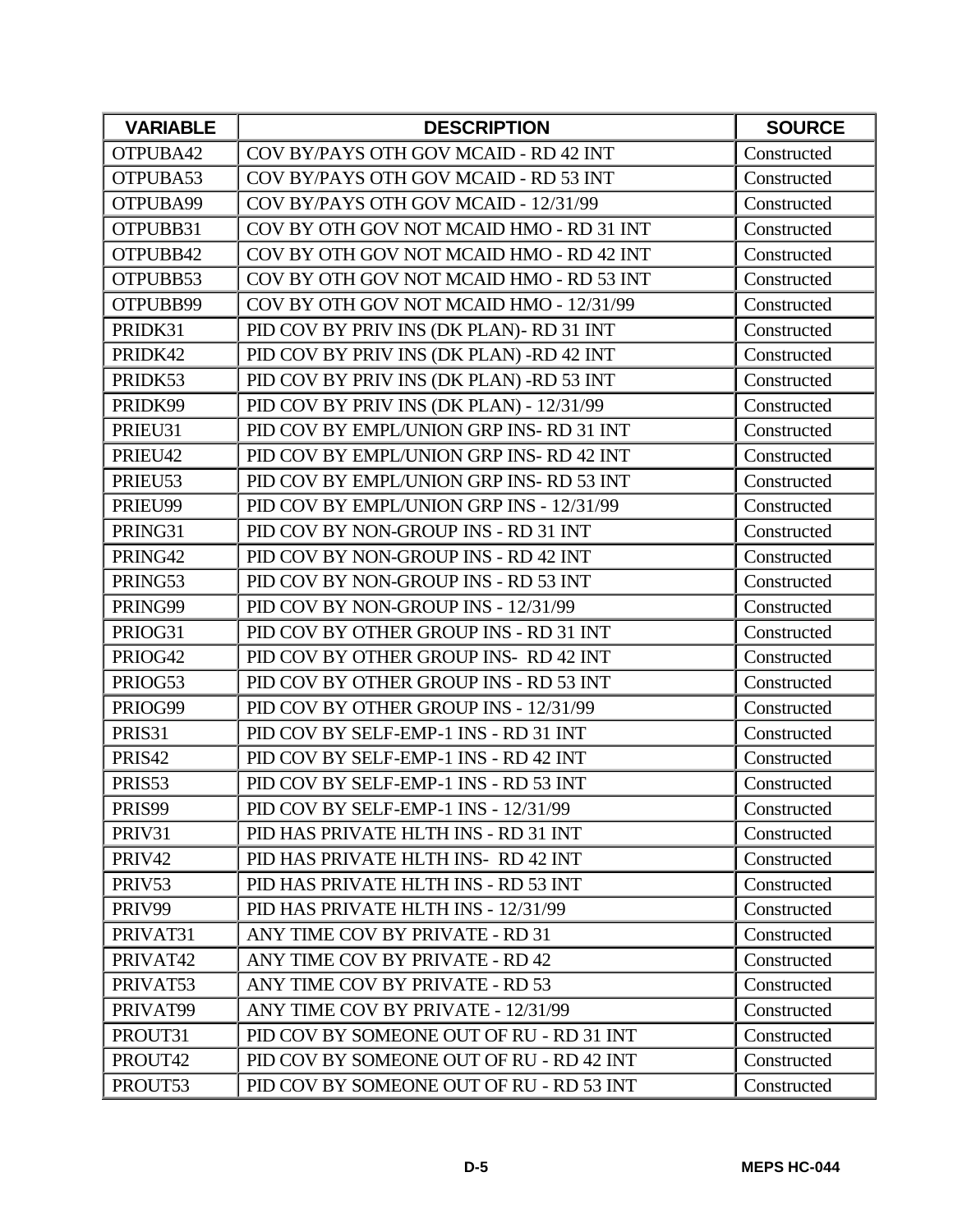| <b>VARIABLE</b> | <b>DESCRIPTION</b>                       | <b>SOURCE</b> |
|-----------------|------------------------------------------|---------------|
| OTPUBA42        | COV BY/PAYS OTH GOV MCAID - RD 42 INT    | Constructed   |
| OTPUBA53        | COV BY/PAYS OTH GOV MCAID - RD 53 INT    | Constructed   |
| OTPUBA99        | COV BY/PAYS OTH GOV MCAID - 12/31/99     | Constructed   |
| OTPUBB31        | COV BY OTH GOV NOT MCAID HMO - RD 31 INT | Constructed   |
| OTPUBB42        | COV BY OTH GOV NOT MCAID HMO - RD 42 INT | Constructed   |
| OTPUBB53        | COV BY OTH GOV NOT MCAID HMO - RD 53 INT | Constructed   |
| OTPUBB99        | COV BY OTH GOV NOT MCAID HMO - 12/31/99  | Constructed   |
| PRIDK31         | PID COV BY PRIV INS (DK PLAN)- RD 31 INT | Constructed   |
| PRIDK42         | PID COV BY PRIV INS (DK PLAN) -RD 42 INT | Constructed   |
| PRIDK53         | PID COV BY PRIV INS (DK PLAN) -RD 53 INT | Constructed   |
| PRIDK99         | PID COV BY PRIV INS (DK PLAN) - 12/31/99 | Constructed   |
| PRIEU31         | PID COV BY EMPL/UNION GRP INS-RD 31 INT  | Constructed   |
| PRIEU42         | PID COV BY EMPL/UNION GRP INS-RD 42 INT  | Constructed   |
| PRIEU53         | PID COV BY EMPL/UNION GRP INS-RD 53 INT  | Constructed   |
| PRIEU99         | PID COV BY EMPL/UNION GRP INS - 12/31/99 | Constructed   |
| PRING31         | PID COV BY NON-GROUP INS - RD 31 INT     | Constructed   |
| PRING42         | PID COV BY NON-GROUP INS - RD 42 INT     | Constructed   |
| PRING53         | PID COV BY NON-GROUP INS - RD 53 INT     | Constructed   |
| PRING99         | PID COV BY NON-GROUP INS - 12/31/99      | Constructed   |
| PRIOG31         | PID COV BY OTHER GROUP INS - RD 31 INT   | Constructed   |
| PRIOG42         | PID COV BY OTHER GROUP INS-RD 42 INT     | Constructed   |
| PRIOG53         | PID COV BY OTHER GROUP INS - RD 53 INT   | Constructed   |
| PRIOG99         | PID COV BY OTHER GROUP INS - 12/31/99    | Constructed   |
| PRIS31          | PID COV BY SELF-EMP-1 INS - RD 31 INT    | Constructed   |
| PRIS42          | PID COV BY SELF-EMP-1 INS - RD 42 INT    | Constructed   |
| PRIS53          | PID COV BY SELF-EMP-1 INS - RD 53 INT    | Constructed   |
| PRIS99          | PID COV BY SELF-EMP-1 INS - 12/31/99     | Constructed   |
| PRIV31          | PID HAS PRIVATE HLTH INS - RD 31 INT     | Constructed   |
| PRIV42          | PID HAS PRIVATE HLTH INS-RD 42 INT       | Constructed   |
| PRIV53          | PID HAS PRIVATE HLTH INS - RD 53 INT     | Constructed   |
| PRIV99          | PID HAS PRIVATE HLTH INS - 12/31/99      | Constructed   |
| PRIVAT31        | ANY TIME COV BY PRIVATE - RD 31          | Constructed   |
| PRIVAT42        | ANY TIME COV BY PRIVATE - RD 42          | Constructed   |
| PRIVAT53        | ANY TIME COV BY PRIVATE - RD 53          | Constructed   |
| PRIVAT99        | ANY TIME COV BY PRIVATE - 12/31/99       | Constructed   |
| PROUT31         | PID COV BY SOMEONE OUT OF RU - RD 31 INT | Constructed   |
| PROUT42         | PID COV BY SOMEONE OUT OF RU - RD 42 INT | Constructed   |
| PROUT53         | PID COV BY SOMEONE OUT OF RU - RD 53 INT | Constructed   |